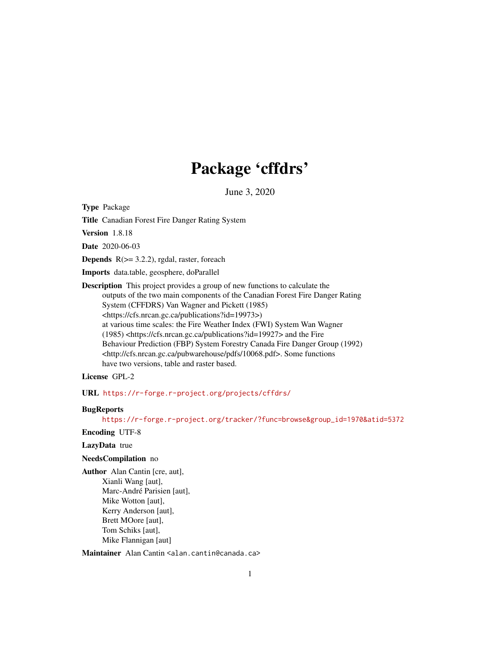# Package 'cffdrs'

June 3, 2020

Type Package

Title Canadian Forest Fire Danger Rating System

Version 1.8.18

Date 2020-06-03

**Depends**  $R$ ( $>=$  3.2.2), rgdal, raster, foreach

Imports data.table, geosphere, doParallel

Description This project provides a group of new functions to calculate the outputs of the two main components of the Canadian Forest Fire Danger Rating System (CFFDRS) Van Wagner and Pickett (1985) <https://cfs.nrcan.gc.ca/publications?id=19973>) at various time scales: the Fire Weather Index (FWI) System Wan Wagner (1985) <https://cfs.nrcan.gc.ca/publications?id=19927> and the Fire Behaviour Prediction (FBP) System Forestry Canada Fire Danger Group (1992) <http://cfs.nrcan.gc.ca/pubwarehouse/pdfs/10068.pdf>. Some functions have two versions, table and raster based.

License GPL-2

URL <https://r-forge.r-project.org/projects/cffdrs/>

# **BugReports**

[https://r-forge.r-project.org/tracker/?func=browse&group\\_id=1970&atid=5372](https://r-forge.r-project.org/tracker/?func=browse&group_id=1970&atid=5372)

Encoding UTF-8

# LazyData true

# NeedsCompilation no

Author Alan Cantin [cre, aut], Xianli Wang [aut], Marc-André Parisien [aut], Mike Wotton [aut], Kerry Anderson [aut], Brett MOore [aut], Tom Schiks [aut], Mike Flannigan [aut]

Maintainer Alan Cantin <alan.cantin@canada.ca>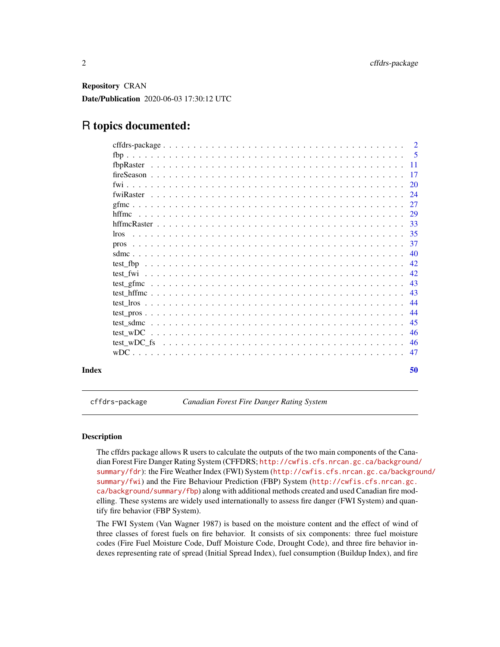<span id="page-1-0"></span>Repository CRAN Date/Publication 2020-06-03 17:30:12 UTC

# R topics documented:

|       |  |  |  |  |  |  |  |  |  |  |  |  |  |  |  |  |  |  | 50   |
|-------|--|--|--|--|--|--|--|--|--|--|--|--|--|--|--|--|--|--|------|
|       |  |  |  |  |  |  |  |  |  |  |  |  |  |  |  |  |  |  | 47   |
|       |  |  |  |  |  |  |  |  |  |  |  |  |  |  |  |  |  |  | 46   |
|       |  |  |  |  |  |  |  |  |  |  |  |  |  |  |  |  |  |  | 46   |
|       |  |  |  |  |  |  |  |  |  |  |  |  |  |  |  |  |  |  | 45   |
|       |  |  |  |  |  |  |  |  |  |  |  |  |  |  |  |  |  |  | 44   |
|       |  |  |  |  |  |  |  |  |  |  |  |  |  |  |  |  |  |  | 44   |
|       |  |  |  |  |  |  |  |  |  |  |  |  |  |  |  |  |  |  | 43   |
|       |  |  |  |  |  |  |  |  |  |  |  |  |  |  |  |  |  |  | 43   |
|       |  |  |  |  |  |  |  |  |  |  |  |  |  |  |  |  |  |  | 42   |
|       |  |  |  |  |  |  |  |  |  |  |  |  |  |  |  |  |  |  | 42   |
|       |  |  |  |  |  |  |  |  |  |  |  |  |  |  |  |  |  |  | 40   |
|       |  |  |  |  |  |  |  |  |  |  |  |  |  |  |  |  |  |  | -37  |
| lros. |  |  |  |  |  |  |  |  |  |  |  |  |  |  |  |  |  |  | -35  |
|       |  |  |  |  |  |  |  |  |  |  |  |  |  |  |  |  |  |  | 33   |
|       |  |  |  |  |  |  |  |  |  |  |  |  |  |  |  |  |  |  | 29   |
|       |  |  |  |  |  |  |  |  |  |  |  |  |  |  |  |  |  |  | 27   |
|       |  |  |  |  |  |  |  |  |  |  |  |  |  |  |  |  |  |  | 24   |
|       |  |  |  |  |  |  |  |  |  |  |  |  |  |  |  |  |  |  | 20   |
|       |  |  |  |  |  |  |  |  |  |  |  |  |  |  |  |  |  |  | 17   |
|       |  |  |  |  |  |  |  |  |  |  |  |  |  |  |  |  |  |  | - 11 |
|       |  |  |  |  |  |  |  |  |  |  |  |  |  |  |  |  |  |  | -5   |
|       |  |  |  |  |  |  |  |  |  |  |  |  |  |  |  |  |  |  |      |

cffdrs-package *Canadian Forest Fire Danger Rating System*

# **Description**

The cffdrs package allows R users to calculate the outputs of the two main components of the Canadian Forest Fire Danger Rating System (CFFDRS; [http://cwfis.cfs.nrcan.gc.ca/background/](http://cwfis.cfs.nrcan.gc.ca/background/summary/fdr) [summary/fdr](http://cwfis.cfs.nrcan.gc.ca/background/summary/fdr)): the Fire Weather Index (FWI) System ([http://cwfis.cfs.nrcan.gc.ca/backgro](http://cwfis.cfs.nrcan.gc.ca/background/summary/fwi)und/ [summary/fwi](http://cwfis.cfs.nrcan.gc.ca/background/summary/fwi)) and the Fire Behaviour Prediction (FBP) System ([http://cwfis.cfs.nrcan.gc.](http://cwfis.cfs.nrcan.gc.ca/background/summary/fbp) [ca/background/summary/fbp](http://cwfis.cfs.nrcan.gc.ca/background/summary/fbp)) along with additional methods created and used Canadian fire modelling. These systems are widely used internationally to assess fire danger (FWI System) and quantify fire behavior (FBP System).

The FWI System (Van Wagner 1987) is based on the moisture content and the effect of wind of three classes of forest fuels on fire behavior. It consists of six components: three fuel moisture codes (Fire Fuel Moisture Code, Duff Moisture Code, Drought Code), and three fire behavior indexes representing rate of spread (Initial Spread Index), fuel consumption (Buildup Index), and fire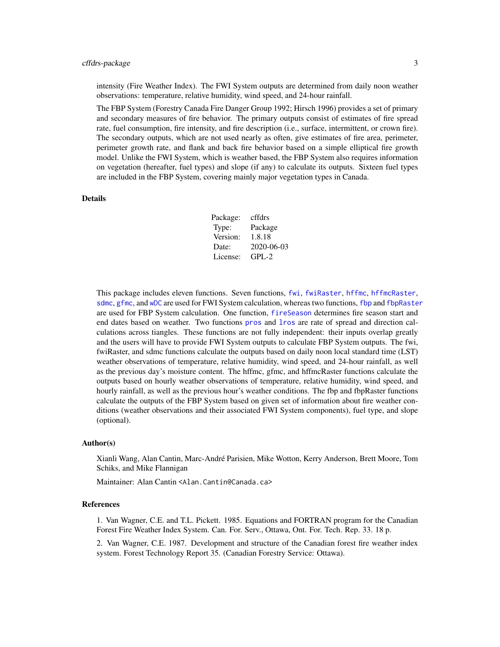# <span id="page-2-0"></span>cffdrs-package 3

intensity (Fire Weather Index). The FWI System outputs are determined from daily noon weather observations: temperature, relative humidity, wind speed, and 24-hour rainfall.

The FBP System (Forestry Canada Fire Danger Group 1992; Hirsch 1996) provides a set of primary and secondary measures of fire behavior. The primary outputs consist of estimates of fire spread rate, fuel consumption, fire intensity, and fire description (i.e., surface, intermittent, or crown fire). The secondary outputs, which are not used nearly as often, give estimates of fire area, perimeter, perimeter growth rate, and flank and back fire behavior based on a simple elliptical fire growth model. Unlike the FWI System, which is weather based, the FBP System also requires information on vegetation (hereafter, fuel types) and slope (if any) to calculate its outputs. Sixteen fuel types are included in the FBP System, covering mainly major vegetation types in Canada.

#### Details

| Package: | cffdrs     |
|----------|------------|
| Type:    | Package    |
| Version: | 1.8.18     |
| Date:    | 2020-06-03 |
| License: | $GPI - 2$  |

This package includes eleven functions. Seven functions, [fwi](#page-19-1), [fwiRaster](#page-23-1), [hffmc](#page-28-1), [hffmcRaster](#page-32-1), [sdmc](#page-39-1), [gfmc](#page-26-1), and [wDC](#page-46-1) are used for FWI System calculation, whereas two functions, [fbp](#page-4-1) and [fbpRaster](#page-10-1) are used for FBP System calculation. One function, [fireSeason](#page-16-1) determines fire season start and end dates based on weather. Two functions [pros](#page-36-1) and [lros](#page-34-1) are rate of spread and direction calculations across tiangles. These functions are not fully independent: their inputs overlap greatly and the users will have to provide FWI System outputs to calculate FBP System outputs. The fwi, fwiRaster, and sdmc functions calculate the outputs based on daily noon local standard time (LST) weather observations of temperature, relative humidity, wind speed, and 24-hour rainfall, as well as the previous day's moisture content. The hffmc, gfmc, and hffmcRaster functions calculate the outputs based on hourly weather observations of temperature, relative humidity, wind speed, and hourly rainfall, as well as the previous hour's weather conditions. The fbp and fbpRaster functions calculate the outputs of the FBP System based on given set of information about fire weather conditions (weather observations and their associated FWI System components), fuel type, and slope (optional).

#### Author(s)

Xianli Wang, Alan Cantin, Marc-André Parisien, Mike Wotton, Kerry Anderson, Brett Moore, Tom Schiks, and Mike Flannigan

Maintainer: Alan Cantin <Alan.Cantin@Canada.ca>

# References

1. Van Wagner, C.E. and T.L. Pickett. 1985. Equations and FORTRAN program for the Canadian Forest Fire Weather Index System. Can. For. Serv., Ottawa, Ont. For. Tech. Rep. 33. 18 p.

2. Van Wagner, C.E. 1987. Development and structure of the Canadian forest fire weather index system. Forest Technology Report 35. (Canadian Forestry Service: Ottawa).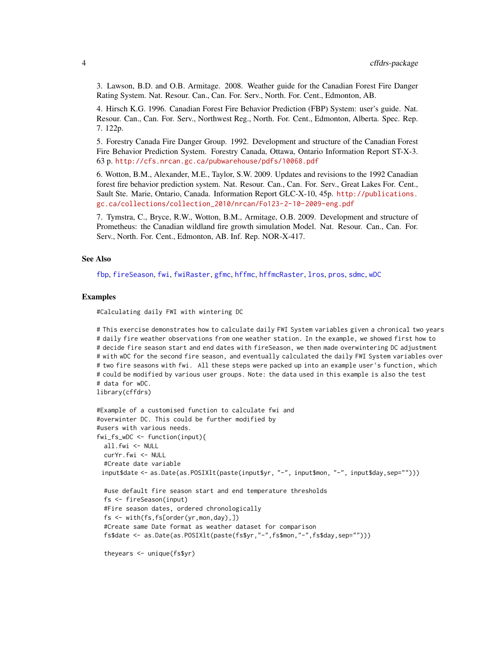<span id="page-3-0"></span>3. Lawson, B.D. and O.B. Armitage. 2008. Weather guide for the Canadian Forest Fire Danger Rating System. Nat. Resour. Can., Can. For. Serv., North. For. Cent., Edmonton, AB.

4. Hirsch K.G. 1996. Canadian Forest Fire Behavior Prediction (FBP) System: user's guide. Nat. Resour. Can., Can. For. Serv., Northwest Reg., North. For. Cent., Edmonton, Alberta. Spec. Rep. 7. 122p.

5. Forestry Canada Fire Danger Group. 1992. Development and structure of the Canadian Forest Fire Behavior Prediction System. Forestry Canada, Ottawa, Ontario Information Report ST-X-3. 63 p. <http://cfs.nrcan.gc.ca/pubwarehouse/pdfs/10068.pdf>

6. Wotton, B.M., Alexander, M.E., Taylor, S.W. 2009. Updates and revisions to the 1992 Canadian forest fire behavior prediction system. Nat. Resour. Can., Can. For. Serv., Great Lakes For. Cent., Sault Ste. Marie, Ontario, Canada. Information Report GLC-X-10, 45p. [http://publications.](http://publications.gc.ca/collections/collection_2010/nrcan/Fo123-2-10-2009-eng.pdf) [gc.ca/collections/collection\\_2010/nrcan/Fo123-2-10-2009-eng.pdf](http://publications.gc.ca/collections/collection_2010/nrcan/Fo123-2-10-2009-eng.pdf)

7. Tymstra, C., Bryce, R.W., Wotton, B.M., Armitage, O.B. 2009. Development and structure of Prometheus: the Canadian wildland fire growth simulation Model. Nat. Resour. Can., Can. For. Serv., North. For. Cent., Edmonton, AB. Inf. Rep. NOR-X-417.

#### See Also

[fbp](#page-4-1), [fireSeason](#page-16-1), [fwi](#page-19-1), [fwiRaster](#page-23-1), [gfmc](#page-26-1), [hffmc](#page-28-1), [hffmcRaster](#page-32-1), [lros](#page-34-1), [pros](#page-36-1), [sdmc](#page-39-1), [wDC](#page-46-1)

#### Examples

#Calculating daily FWI with wintering DC

# This exercise demonstrates how to calculate daily FWI System variables given a chronical two years # daily fire weather observations from one weather station. In the example, we showed first how to # decide fire season start and end dates with fireSeason, we then made overwintering DC adjustment # with wDC for the second fire season, and eventually calculated the daily FWI System variables over # two fire seasons with fwi. All these steps were packed up into an example user's function, which # could be modified by various user groups. Note: the data used in this example is also the test # data for wDC. library(cffdrs)

```
#Example of a customised function to calculate fwi and
#overwinter DC. This could be further modified by
#users with various needs.
fwi_fs_wDC <- function(input){
 all.fwi <- NULL
 curYr.fwi <- NULL
 #Create date variable
 input$date <- as.Date(as.POSIXlt(paste(input$yr, "-", input$mon, "-", input$day,sep="")))
 #use default fire season start and end temperature thresholds
 fs <- fireSeason(input)
 #Fire season dates, ordered chronologically
 fs <- with(fs,fs[order(yr,mon,day),])
 #Create same Date format as weather dataset for comparison
 fs$date <- as.Date(as.POSIXlt(paste(fs$yr,"-",fs$mon,"-",fs$day,sep="")))
```
theyears <- unique(fs\$yr)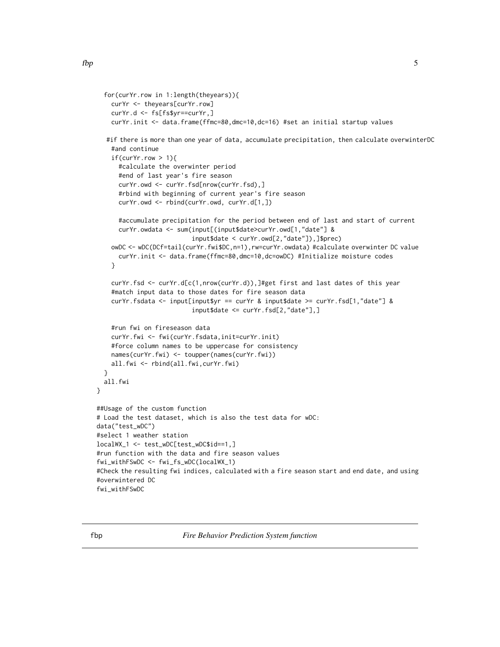```
for(curYr.row in 1:length(theyears)){
    curYr <- theyears[curYr.row]
    curYr.d <- fs[fs$yr==curYr,]
    curYr.init <- data.frame(ffmc=80,dmc=10,dc=16) #set an initial startup values
  #if there is more than one year of data, accumulate precipitation, then calculate overwinterDC
    #and continue
    if(curYr.row > 1){
     #calculate the overwinter period
      #end of last year's fire season
     curYr.owd <- curYr.fsd[nrow(curYr.fsd),]
      #rbind with beginning of current year's fire season
      curYr.owd <- rbind(curYr.owd, curYr.d[1,])
     #accumulate precipitation for the period between end of last and start of current
     curYr.owdata <- sum(input[(input$date>curYr.owd[1,"date"] &
                          input$date < curYr.owd[2,"date"]),]$prec)
    owDC <- wDC(DCf=tail(curYr.fwi$DC,n=1),rw=curYr.owdata) #calculate overwinter DC value
     curYr.init <- data.frame(ffmc=80,dmc=10,dc=owDC) #Initialize moisture codes
    }
    curYr.fsd <- curYr.d[c(1,nrow(curYr.d)),]#get first and last dates of this year
    #match input data to those dates for fire season data
    curYr.fsdata <- input[input$yr == curYr & input$date >= curYr.fsd[1,"date"] &
                          input$date <= curYr.fsd[2,"date"],]
    #run fwi on fireseason data
    curYr.fwi <- fwi(curYr.fsdata,init=curYr.init)
    #force column names to be uppercase for consistency
   names(curYr.fwi) <- toupper(names(curYr.fwi))
   all.fwi <- rbind(all.fwi,curYr.fwi)
 }
 all.fwi
##Usage of the custom function
# Load the test dataset, which is also the test data for wDC:
data("test_wDC")
#select 1 weather station
localWX_1 <- test_wDC[test_wDC$id==1,]
#run function with the data and fire season values
fwi_withFSwDC <- fwi_fs_wDC(localWX_1)
#Check the resulting fwi indices, calculated with a fire season start and end date, and using
#overwintered DC
```

```
fwi_withFSwDC
```
<span id="page-4-1"></span>

}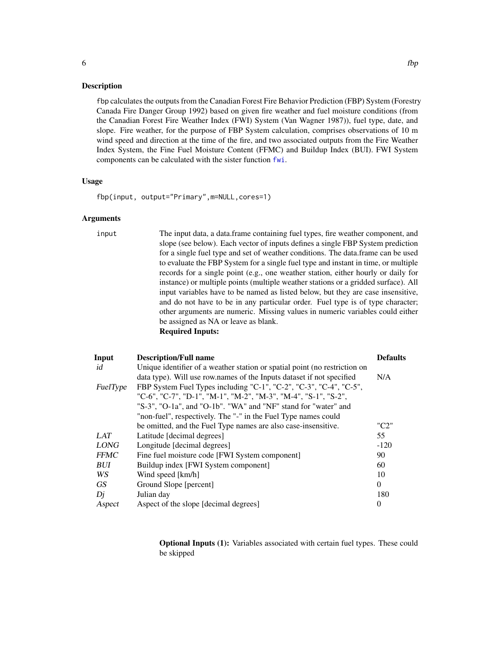# <span id="page-5-0"></span>Description

fbp calculates the outputs from the Canadian Forest Fire Behavior Prediction (FBP) System (Forestry Canada Fire Danger Group 1992) based on given fire weather and fuel moisture conditions (from the Canadian Forest Fire Weather Index (FWI) System (Van Wagner 1987)), fuel type, date, and slope. Fire weather, for the purpose of FBP System calculation, comprises observations of 10 m wind speed and direction at the time of the fire, and two associated outputs from the Fire Weather Index System, the Fine Fuel Moisture Content (FFMC) and Buildup Index (BUI). FWI System components can be calculated with the sister function [fwi](#page-19-1).

#### Usage

fbp(input, output="Primary",m=NULL,cores=1)

# Arguments

input The input data, a data.frame containing fuel types, fire weather component, and slope (see below). Each vector of inputs defines a single FBP System prediction for a single fuel type and set of weather conditions. The data.frame can be used to evaluate the FBP System for a single fuel type and instant in time, or multiple records for a single point (e.g., one weather station, either hourly or daily for instance) or multiple points (multiple weather stations or a gridded surface). All input variables have to be named as listed below, but they are case insensitive, and do not have to be in any particular order. Fuel type is of type character; other arguments are numeric. Missing values in numeric variables could either be assigned as NA or leave as blank. Required Inputs:

| Input       | <b>Description/Full name</b>                                               | <b>Defaults</b> |
|-------------|----------------------------------------------------------------------------|-----------------|
| id          | Unique identifier of a weather station or spatial point (no restriction on |                 |
|             | data type). Will use row names of the Inputs dataset if not specified      | N/A             |
| FuelType    | FBP System Fuel Types including "C-1", "C-2", "C-3", "C-4", "C-5",         |                 |
|             | "C-6", "C-7", "D-1", "M-1", "M-2", "M-3", "M-4", "S-1", "S-2",             |                 |
|             | "S-3", "O-1a", and "O-1b". "WA" and "NF" stand for "water" and             |                 |
|             | "non-fuel", respectively. The "-" in the Fuel Type names could             |                 |
|             | be omitted, and the Fuel Type names are also case-insensitive.             | "C2"            |
| LAT         | Latitude [decimal degrees]                                                 | 55              |
| <b>LONG</b> | Longitude [decimal degrees]                                                | $-120$          |
| <b>FFMC</b> | Fine fuel moisture code [FWI System component]                             | 90              |
| BUI         | Buildup index [FWI System component]                                       | 60              |
| WS          | Wind speed [km/h]                                                          | 10              |
| GS          | Ground Slope [percent]                                                     | $\Omega$        |
| Dj          | Julian day                                                                 | 180             |
| Aspect      | Aspect of the slope [decimal degrees]                                      | $\theta$        |

Optional Inputs (1): Variables associated with certain fuel types. These could be skipped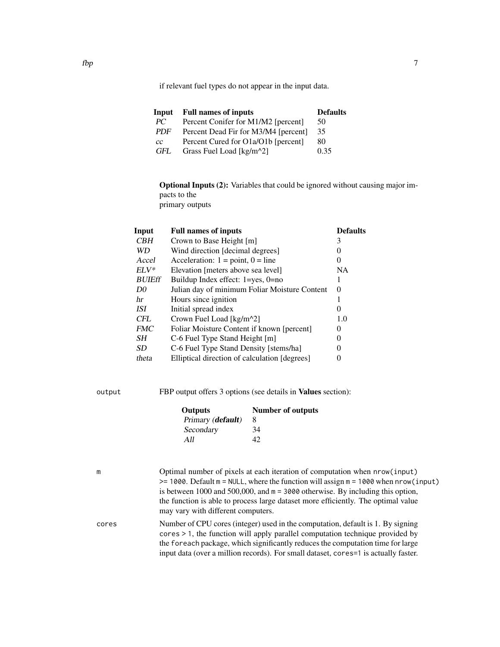if relevant fuel types do not appear in the input data.

| Input      | <b>Full names of inputs</b>          | <b>Defaults</b> |
|------------|--------------------------------------|-----------------|
| PC.        | Percent Conifer for M1/M2 [percent]  | 50              |
| <b>PDF</b> | Percent Dead Fir for M3/M4 [percent] | 35              |
| cc         | Percent Cured for O1a/O1b [percent]  | 80              |
| GFL        | Grass Fuel Load [kg/m^2]             | 0.35            |

Optional Inputs (2): Variables that could be ignored without causing major impacts to the primary outputs

| Input          | <b>Full names of inputs</b>                   | <b>Defaults</b> |
|----------------|-----------------------------------------------|-----------------|
| <b>CBH</b>     | Crown to Base Height [m]                      | 3               |
| <b>WD</b>      | Wind direction [decimal degrees]              | 0               |
| Accel          | Acceleration: $1 = point$ , $0 = line$        | $\theta$        |
| $ELV^*$        | Elevation [meters above sea level]            | NA              |
| <b>BUIEff</b>  | Buildup Index effect: $1 = yes$ , $0 = no$    |                 |
| D <sub>0</sub> | Julian day of minimum Foliar Moisture Content | $\theta$        |
| hr             | Hours since ignition                          |                 |
| ISI            | Initial spread index                          | $\theta$        |
| <b>CFL</b>     | Crown Fuel Load [kg/m <sup>2</sup> ]          | 1.0             |
| <b>FMC</b>     | Foliar Moisture Content if known [percent]    | $\theta$        |
| SН             | C-6 Fuel Type Stand Height [m]                | $\theta$        |
| SD.            | C-6 Fuel Type Stand Density [stems/ha]        | 0               |
| theta          | Elliptical direction of calculation [degrees] |                 |

output FBP output offers 3 options (see details in Values section):

| <b>Outputs</b>    | <b>Number of outputs</b> |
|-------------------|--------------------------|
| Primary (default) | 8                        |
| Secondary         | 34                       |
| A 11              | 42                       |
|                   |                          |

m Optimal number of pixels at each iteration of computation when nrow(input) >= 1000. Default m = NULL, where the function will assign m = 1000 when nrow(input) is between 1000 and 500,000, and m = 3000 otherwise. By including this option, the function is able to process large dataset more efficiently. The optimal value may vary with different computers. cores Number of CPU cores (integer) used in the computation, default is 1. By signing

cores > 1, the function will apply parallel computation technique provided by the foreach package, which significantly reduces the computation time for large input data (over a million records). For small dataset, cores=1 is actually faster.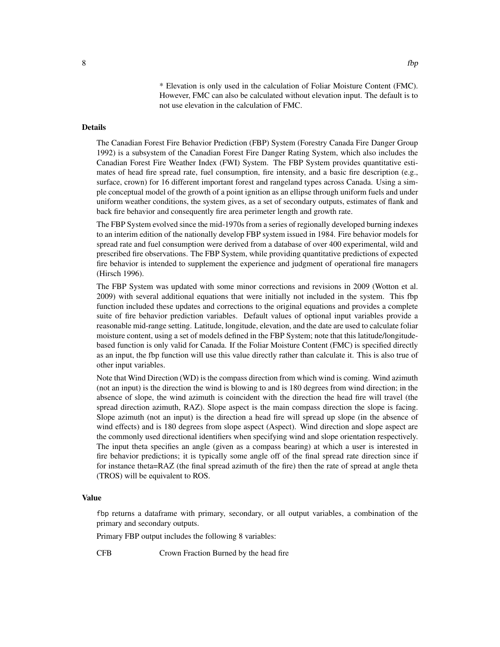\* Elevation is only used in the calculation of Foliar Moisture Content (FMC). However, FMC can also be calculated without elevation input. The default is to not use elevation in the calculation of FMC.

# Details

The Canadian Forest Fire Behavior Prediction (FBP) System (Forestry Canada Fire Danger Group 1992) is a subsystem of the Canadian Forest Fire Danger Rating System, which also includes the Canadian Forest Fire Weather Index (FWI) System. The FBP System provides quantitative estimates of head fire spread rate, fuel consumption, fire intensity, and a basic fire description (e.g., surface, crown) for 16 different important forest and rangeland types across Canada. Using a simple conceptual model of the growth of a point ignition as an ellipse through uniform fuels and under uniform weather conditions, the system gives, as a set of secondary outputs, estimates of flank and back fire behavior and consequently fire area perimeter length and growth rate.

The FBP System evolved since the mid-1970s from a series of regionally developed burning indexes to an interim edition of the nationally develop FBP system issued in 1984. Fire behavior models for spread rate and fuel consumption were derived from a database of over 400 experimental, wild and prescribed fire observations. The FBP System, while providing quantitative predictions of expected fire behavior is intended to supplement the experience and judgment of operational fire managers (Hirsch 1996).

The FBP System was updated with some minor corrections and revisions in 2009 (Wotton et al. 2009) with several additional equations that were initially not included in the system. This fbp function included these updates and corrections to the original equations and provides a complete suite of fire behavior prediction variables. Default values of optional input variables provide a reasonable mid-range setting. Latitude, longitude, elevation, and the date are used to calculate foliar moisture content, using a set of models defined in the FBP System; note that this latitude/longitudebased function is only valid for Canada. If the Foliar Moisture Content (FMC) is specified directly as an input, the fbp function will use this value directly rather than calculate it. This is also true of other input variables.

Note that Wind Direction (WD) is the compass direction from which wind is coming. Wind azimuth (not an input) is the direction the wind is blowing to and is 180 degrees from wind direction; in the absence of slope, the wind azimuth is coincident with the direction the head fire will travel (the spread direction azimuth, RAZ). Slope aspect is the main compass direction the slope is facing. Slope azimuth (not an input) is the direction a head fire will spread up slope (in the absence of wind effects) and is 180 degrees from slope aspect (Aspect). Wind direction and slope aspect are the commonly used directional identifiers when specifying wind and slope orientation respectively. The input theta specifies an angle (given as a compass bearing) at which a user is interested in fire behavior predictions; it is typically some angle off of the final spread rate direction since if for instance theta=RAZ (the final spread azimuth of the fire) then the rate of spread at angle theta (TROS) will be equivalent to ROS.

#### Value

fbp returns a dataframe with primary, secondary, or all output variables, a combination of the primary and secondary outputs.

Primary FBP output includes the following 8 variables:

CFB Crown Fraction Burned by the head fire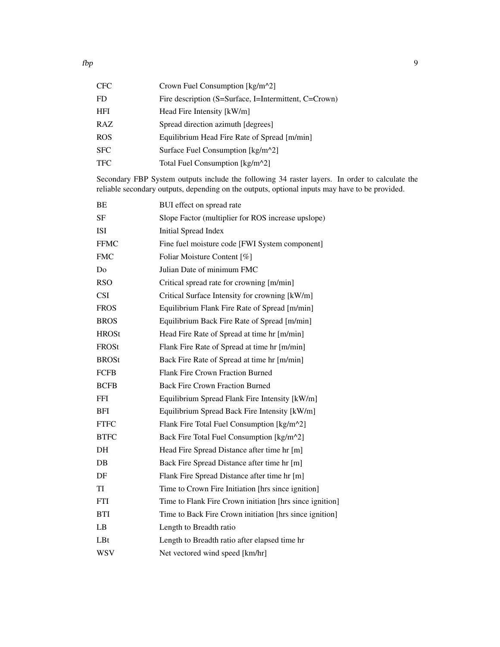| CFC. | Crown Fuel Consumption [kg/m^2]                       |
|------|-------------------------------------------------------|
| FD   | Fire description (S=Surface, I=Intermittent, C=Crown) |
| HFI  | Head Fire Intensity [kW/m]                            |
| RAZ  | Spread direction azimuth [degrees]                    |
| ROS  | Equilibrium Head Fire Rate of Spread [m/min]          |
| SFC  | Surface Fuel Consumption [kg/m <sup>2</sup> ]         |
| TFC  | Total Fuel Consumption [kg/m^2]                       |
|      |                                                       |

Secondary FBP System outputs include the following 34 raster layers. In order to calculate the reliable secondary outputs, depending on the outputs, optional inputs may have to be provided.

| BE             | BUI effect on spread rate                                |
|----------------|----------------------------------------------------------|
| SF             | Slope Factor (multiplier for ROS increase upslope)       |
| ISI            | <b>Initial Spread Index</b>                              |
| <b>FFMC</b>    | Fine fuel moisture code [FWI System component]           |
| <b>FMC</b>     | Foliar Moisture Content [%]                              |
| D <sub>0</sub> | Julian Date of minimum FMC                               |
| <b>RSO</b>     | Critical spread rate for crowning [m/min]                |
| <b>CSI</b>     | Critical Surface Intensity for crowning [kW/m]           |
| <b>FROS</b>    | Equilibrium Flank Fire Rate of Spread [m/min]            |
| <b>BROS</b>    | Equilibrium Back Fire Rate of Spread [m/min]             |
| <b>HROSt</b>   | Head Fire Rate of Spread at time hr [m/min]              |
| FROSt          | Flank Fire Rate of Spread at time hr [m/min]             |
| <b>BROSt</b>   | Back Fire Rate of Spread at time hr [m/min]              |
| <b>FCFB</b>    | Flank Fire Crown Fraction Burned                         |
| <b>BCFB</b>    | <b>Back Fire Crown Fraction Burned</b>                   |
| FFI            | Equilibrium Spread Flank Fire Intensity [kW/m]           |
| <b>BFI</b>     | Equilibrium Spread Back Fire Intensity [kW/m]            |
| <b>FTFC</b>    | Flank Fire Total Fuel Consumption [kg/m^2]               |
| <b>BTFC</b>    | Back Fire Total Fuel Consumption [kg/m^2]                |
| DH             | Head Fire Spread Distance after time hr [m]              |
| DB             | Back Fire Spread Distance after time hr [m]              |
| DF             | Flank Fire Spread Distance after time hr [m]             |
| TI             | Time to Crown Fire Initiation [hrs since ignition]       |
| FTI            | Time to Flank Fire Crown initiation [hrs since ignition] |
| <b>BTI</b>     | Time to Back Fire Crown initiation [hrs since ignition]  |
| LB             | Length to Breadth ratio                                  |
| LBt            | Length to Breadth ratio after elapsed time hr            |
| <b>WSV</b>     | Net vectored wind speed [km/hr]                          |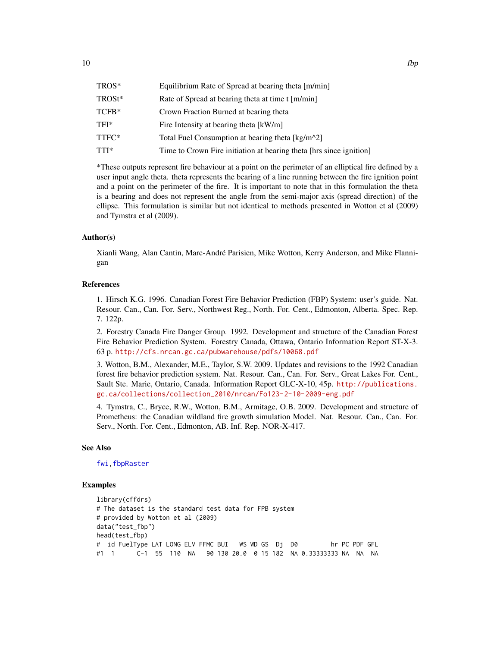<span id="page-9-0"></span>

| TROS*  | Equilibrium Rate of Spread at bearing theta [m/min]                 |
|--------|---------------------------------------------------------------------|
| TROSt* | Rate of Spread at bearing theta at time t [m/min]                   |
| TCFB*  | Crown Fraction Burned at bearing theta                              |
| TFI*   | Fire Intensity at bearing theta [kW/m]                              |
| TTFC*  | Total Fuel Consumption at bearing theta [kg/m^2]                    |
| TTI*   | Time to Crown Fire initiation at bearing theta [hrs since ignition] |
|        |                                                                     |

\*These outputs represent fire behaviour at a point on the perimeter of an elliptical fire defined by a user input angle theta. theta represents the bearing of a line running between the fire ignition point and a point on the perimeter of the fire. It is important to note that in this formulation the theta is a bearing and does not represent the angle from the semi-major axis (spread direction) of the ellipse. This formulation is similar but not identical to methods presented in Wotton et al (2009) and Tymstra et al (2009).

# Author(s)

Xianli Wang, Alan Cantin, Marc-André Parisien, Mike Wotton, Kerry Anderson, and Mike Flannigan

# References

1. Hirsch K.G. 1996. Canadian Forest Fire Behavior Prediction (FBP) System: user's guide. Nat. Resour. Can., Can. For. Serv., Northwest Reg., North. For. Cent., Edmonton, Alberta. Spec. Rep. 7. 122p.

2. Forestry Canada Fire Danger Group. 1992. Development and structure of the Canadian Forest Fire Behavior Prediction System. Forestry Canada, Ottawa, Ontario Information Report ST-X-3. 63 p. <http://cfs.nrcan.gc.ca/pubwarehouse/pdfs/10068.pdf>

3. Wotton, B.M., Alexander, M.E., Taylor, S.W. 2009. Updates and revisions to the 1992 Canadian forest fire behavior prediction system. Nat. Resour. Can., Can. For. Serv., Great Lakes For. Cent., Sault Ste. Marie, Ontario, Canada. Information Report GLC-X-10, 45p. [http://publications.](http://publications.gc.ca/collections/collection_2010/nrcan/Fo123-2-10-2009-eng.pdf) [gc.ca/collections/collection\\_2010/nrcan/Fo123-2-10-2009-eng.pdf](http://publications.gc.ca/collections/collection_2010/nrcan/Fo123-2-10-2009-eng.pdf)

4. Tymstra, C., Bryce, R.W., Wotton, B.M., Armitage, O.B. 2009. Development and structure of Prometheus: the Canadian wildland fire growth simulation Model. Nat. Resour. Can., Can. For. Serv., North. For. Cent., Edmonton, AB. Inf. Rep. NOR-X-417.

# See Also

# [fwi](#page-19-1)[,fbpRaster](#page-10-1)

# Examples

```
library(cffdrs)
# The dataset is the standard test data for FPB system
# provided by Wotton et al (2009)
data("test_fbp")
head(test_fbp)
# id FuelType LAT LONG ELV FFMC BUI WS WD GS Dj D0 hr PC PDF GFL
#1 1 C-1 55 110 NA 90 130 20.0 0 15 182 NA 0.33333333 NA NA NA
```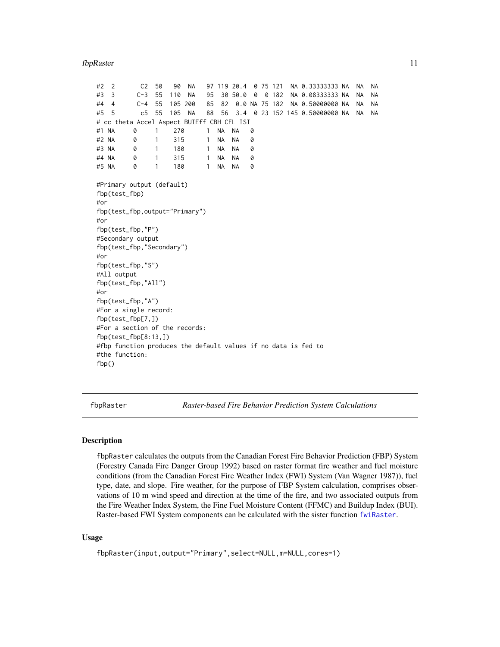#### <span id="page-10-0"></span>fbpRaster 11

#2 2 C2 50 90 NA 97 119 20.4 0 75 121 NA 0.33333333 NA NA NA #3 3 C-3 55 110 NA 95 30 50.0 0 0 182 NA 0.08333333 NA NA NA #4 4 C-4 55 105 200 85 82 0.0 NA 75 182 NA 0.50000000 NA NA NA #5 5 c5 55 105 NA 88 56 3.4 0 23 152 145 0.50000000 NA NA NA # cc theta Accel Aspect BUIEff CBH CFL ISI #1 NA 0 1 270 1 NA NA 0 #2 NA 0 1 315 1 NA NA 0 #3 NA 0 1 180 1 NA NA 0 #4 NA 0 1 315 1 NA NA 0 #5 NA 0 1 180 1 NA NA 0 #Primary output (default) fbp(test\_fbp) #or fbp(test\_fbp,output="Primary") #or fbp(test\_fbp,"P") #Secondary output fbp(test\_fbp,"Secondary") #or fbp(test\_fbp,"S") #All output fbp(test\_fbp,"All") #or fbp(test\_fbp,"A") #For a single record: fbp(test\_fbp[7,]) #For a section of the records: fbp(test\_fbp[8:13,]) #fbp function produces the default values if no data is fed to #the function: fbp()

<span id="page-10-1"></span>fbpRaster *Raster-based Fire Behavior Prediction System Calculations*

# **Description**

fbpRaster calculates the outputs from the Canadian Forest Fire Behavior Prediction (FBP) System (Forestry Canada Fire Danger Group 1992) based on raster format fire weather and fuel moisture conditions (from the Canadian Forest Fire Weather Index (FWI) System (Van Wagner 1987)), fuel type, date, and slope. Fire weather, for the purpose of FBP System calculation, comprises observations of 10 m wind speed and direction at the time of the fire, and two associated outputs from the Fire Weather Index System, the Fine Fuel Moisture Content (FFMC) and Buildup Index (BUI). Raster-based FWI System components can be calculated with the sister function [fwiRaster](#page-23-1).

# Usage

fbpRaster(input,output="Primary",select=NULL,m=NULL,cores=1)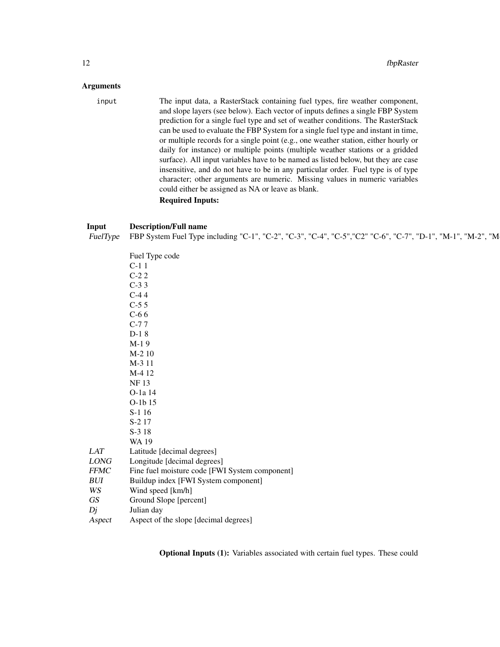# Arguments

input The input data, a RasterStack containing fuel types, fire weather component, and slope layers (see below). Each vector of inputs defines a single FBP System prediction for a single fuel type and set of weather conditions. The RasterStack can be used to evaluate the FBP System for a single fuel type and instant in time, or multiple records for a single point (e.g., one weather station, either hourly or daily for instance) or multiple points (multiple weather stations or a gridded surface). All input variables have to be named as listed below, but they are case insensitive, and do not have to be in any particular order. Fuel type is of type character; other arguments are numeric. Missing values in numeric variables could either be assigned as NA or leave as blank. Required Inputs:

# Input Description/Full name  $\rho$ FuelType FBP System Fuel Type including "C-1", "C-2", "C-3", "C-4", "C-5", "C2" "C-6", "C-7", "D-1", "M-1", "M-2", "M

|                                | Fuel Type code<br>C-1 1<br>C-2 2<br>C-3 3<br>C-4 4<br>C-5 5<br>C-6 6<br>C-7 7<br>D-1 8<br>M-1 9<br>M 2 10 |
|--------------------------------|-----------------------------------------------------------------------------------------------------------|
|                                |                                                                                                           |
|                                |                                                                                                           |
|                                |                                                                                                           |
|                                |                                                                                                           |
|                                |                                                                                                           |
|                                |                                                                                                           |
|                                |                                                                                                           |
|                                |                                                                                                           |
|                                | M-2 10                                                                                                    |
|                                | M-3 11                                                                                                    |
|                                | M-4 12                                                                                                    |
|                                | NF 13                                                                                                     |
|                                | O-1a 14                                                                                                   |
|                                | O-1b 15                                                                                                   |
|                                | $S-1$ 16                                                                                                  |
|                                | S-2 17                                                                                                    |
|                                |                                                                                                           |
|                                | S-3 18                                                                                                    |
|                                | <b>WA 19</b>                                                                                              |
| LAT                            | Latitude [decimal degrees]                                                                                |
| LONG                           | Longitude [decimal degrees]                                                                               |
| FFMC                           | Fine fuel moisture code [FWI System component]                                                            |
| BUI                            | Buildup index [FWI System component]                                                                      |
| WS                             | Wind speed [km/h]                                                                                         |
| $\boldsymbol{G}\boldsymbol{S}$ | Ground Slope [percent]                                                                                    |
| Dj                             | Julian day                                                                                                |
| Aspect                         | Aspect of the slope [decimal degrees]                                                                     |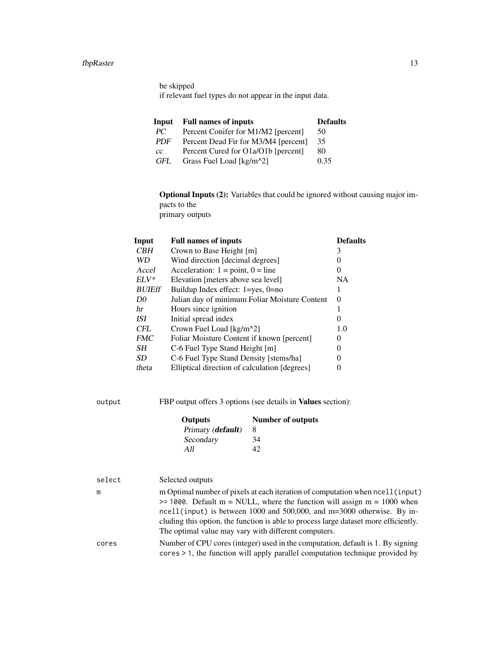#### fbpRaster 13

be skipped if relevant fuel types do not appear in the input data.

| Input      | <b>Full names of inputs</b>          | <b>Defaults</b> |
|------------|--------------------------------------|-----------------|
| PC.        | Percent Conifer for M1/M2 [percent]  | 50              |
| <b>PDF</b> | Percent Dead Fir for M3/M4 [percent] | 35              |
| СC         | Percent Cured for O1a/O1b [percent]  | 80              |
| GFL        | Grass Fuel Load [kg/m <sup>2</sup> ] | 0.35            |

Optional Inputs (2): Variables that could be ignored without causing major impacts to the primary outputs

| Input          | <b>Full names of inputs</b>                   | <b>Defaults</b> |
|----------------|-----------------------------------------------|-----------------|
| <b>CBH</b>     | Crown to Base Height [m]                      | 3               |
| WD.            | Wind direction [decimal degrees]              |                 |
| Accel          | Acceleration: $1 = point$ , $0 = line$        | 0               |
| $ELV^*$        | Elevation [meters above sea level]            | NA.             |
| <b>BUIEff</b>  | Buildup Index effect: $1 = yes$ , $0 = no$    |                 |
| D <sub>0</sub> | Julian day of minimum Foliar Moisture Content | $\Omega$        |
| hr             | Hours since ignition                          |                 |
| ISI            | Initial spread index                          | 0               |
| <b>CFL</b>     | Crown Fuel Load [kg/m^2]                      | 1.0             |
| <b>FMC</b>     | Foliar Moisture Content if known [percent]    | 0               |
| SН             | C-6 Fuel Type Stand Height [m]                | 0               |
| SD.            | C-6 Fuel Type Stand Density [stems/ha]        | 0               |
| theta          | Elliptical direction of calculation [degrees] |                 |
|                |                                               |                 |

output FBP output offers 3 options (see details in Values section):

| Outputs           | <b>Number of outputs</b> |  |
|-------------------|--------------------------|--|
| Primary (default) | 8                        |  |
| Secondary         | 34                       |  |
| A 11              | 42                       |  |

| select | Selected outputs                                                                                                                                                                                                                                                                                                                                                                           |
|--------|--------------------------------------------------------------------------------------------------------------------------------------------------------------------------------------------------------------------------------------------------------------------------------------------------------------------------------------------------------------------------------------------|
| m      | m Optimal number of pixels at each iteration of computation when $neel1$ (input)<br>$\ge$ 1000. Default m = NULL, where the function will assign m = 1000 when<br>ncell(input) is between 1000 and 500,000, and $m=3000$ otherwise. By in-<br>cluding this option, the function is able to process large dataset more efficiently.<br>The optimal value may vary with different computers. |
| cores  | Number of CPU cores (integer) used in the computation, default is 1. By signing<br>$cores > 1$ , the function will apply parallel computation technique provided by                                                                                                                                                                                                                        |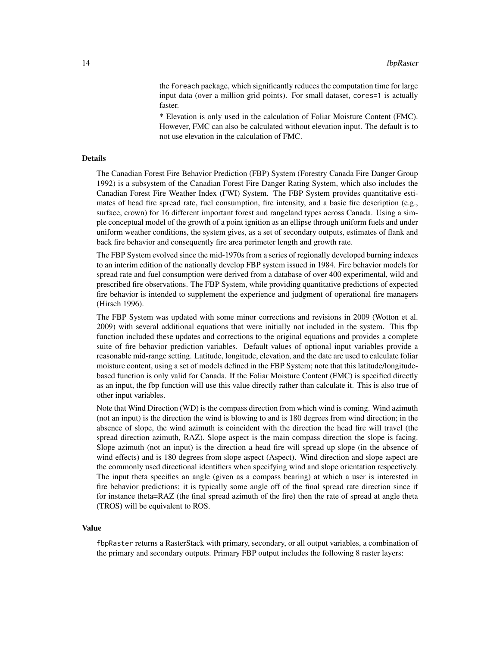the foreach package, which significantly reduces the computation time for large input data (over a million grid points). For small dataset, cores=1 is actually faster.

\* Elevation is only used in the calculation of Foliar Moisture Content (FMC). However, FMC can also be calculated without elevation input. The default is to not use elevation in the calculation of FMC.

# Details

The Canadian Forest Fire Behavior Prediction (FBP) System (Forestry Canada Fire Danger Group 1992) is a subsystem of the Canadian Forest Fire Danger Rating System, which also includes the Canadian Forest Fire Weather Index (FWI) System. The FBP System provides quantitative estimates of head fire spread rate, fuel consumption, fire intensity, and a basic fire description (e.g., surface, crown) for 16 different important forest and rangeland types across Canada. Using a simple conceptual model of the growth of a point ignition as an ellipse through uniform fuels and under uniform weather conditions, the system gives, as a set of secondary outputs, estimates of flank and back fire behavior and consequently fire area perimeter length and growth rate.

The FBP System evolved since the mid-1970s from a series of regionally developed burning indexes to an interim edition of the nationally develop FBP system issued in 1984. Fire behavior models for spread rate and fuel consumption were derived from a database of over 400 experimental, wild and prescribed fire observations. The FBP System, while providing quantitative predictions of expected fire behavior is intended to supplement the experience and judgment of operational fire managers (Hirsch 1996).

The FBP System was updated with some minor corrections and revisions in 2009 (Wotton et al. 2009) with several additional equations that were initially not included in the system. This fbp function included these updates and corrections to the original equations and provides a complete suite of fire behavior prediction variables. Default values of optional input variables provide a reasonable mid-range setting. Latitude, longitude, elevation, and the date are used to calculate foliar moisture content, using a set of models defined in the FBP System; note that this latitude/longitudebased function is only valid for Canada. If the Foliar Moisture Content (FMC) is specified directly as an input, the fbp function will use this value directly rather than calculate it. This is also true of other input variables.

Note that Wind Direction (WD) is the compass direction from which wind is coming. Wind azimuth (not an input) is the direction the wind is blowing to and is 180 degrees from wind direction; in the absence of slope, the wind azimuth is coincident with the direction the head fire will travel (the spread direction azimuth, RAZ). Slope aspect is the main compass direction the slope is facing. Slope azimuth (not an input) is the direction a head fire will spread up slope (in the absence of wind effects) and is 180 degrees from slope aspect (Aspect). Wind direction and slope aspect are the commonly used directional identifiers when specifying wind and slope orientation respectively. The input theta specifies an angle (given as a compass bearing) at which a user is interested in fire behavior predictions; it is typically some angle off of the final spread rate direction since if for instance theta=RAZ (the final spread azimuth of the fire) then the rate of spread at angle theta (TROS) will be equivalent to ROS.

#### Value

fbpRaster returns a RasterStack with primary, secondary, or all output variables, a combination of the primary and secondary outputs. Primary FBP output includes the following 8 raster layers: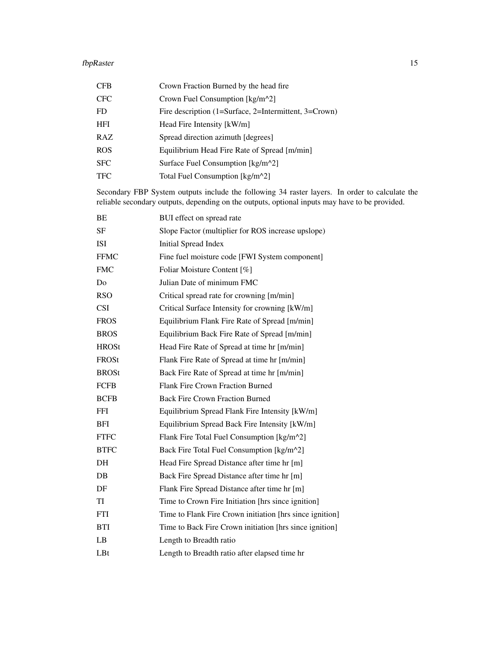#### fbpRaster 15

| <b>CFB</b> | Crown Fraction Burned by the head fire                |
|------------|-------------------------------------------------------|
| <b>CFC</b> | Crown Fuel Consumption $[kg/m^2]$                     |
| FD.        | Fire description (1=Surface, 2=Intermittent, 3=Crown) |
| <b>HFI</b> | Head Fire Intensity [kW/m]                            |
| RAZ        | Spread direction azimuth [degrees]                    |
| <b>ROS</b> | Equilibrium Head Fire Rate of Spread [m/min]          |
| <b>SFC</b> | Surface Fuel Consumption [kg/m^2]                     |
| <b>TFC</b> | Total Fuel Consumption [kg/m^2]                       |
|            |                                                       |

Secondary FBP System outputs include the following 34 raster layers. In order to calculate the reliable secondary outputs, depending on the outputs, optional inputs may have to be provided.

| BE           | BUI effect on spread rate                                |
|--------------|----------------------------------------------------------|
| <b>SF</b>    | Slope Factor (multiplier for ROS increase upslope)       |
| <b>ISI</b>   | <b>Initial Spread Index</b>                              |
| <b>FFMC</b>  | Fine fuel moisture code [FWI System component]           |
| <b>FMC</b>   | Foliar Moisture Content [%]                              |
| Do           | Julian Date of minimum FMC                               |
| <b>RSO</b>   | Critical spread rate for crowning [m/min]                |
| <b>CSI</b>   | Critical Surface Intensity for crowning [kW/m]           |
| <b>FROS</b>  | Equilibrium Flank Fire Rate of Spread [m/min]            |
| <b>BROS</b>  | Equilibrium Back Fire Rate of Spread [m/min]             |
| <b>HROSt</b> | Head Fire Rate of Spread at time hr [m/min]              |
| FROSt        | Flank Fire Rate of Spread at time hr [m/min]             |
| <b>BROSt</b> | Back Fire Rate of Spread at time hr [m/min]              |
| <b>FCFB</b>  | Flank Fire Crown Fraction Burned                         |
| <b>BCFB</b>  | <b>Back Fire Crown Fraction Burned</b>                   |
| <b>FFI</b>   | Equilibrium Spread Flank Fire Intensity [kW/m]           |
| <b>BFI</b>   | Equilibrium Spread Back Fire Intensity [kW/m]            |
| <b>FTFC</b>  | Flank Fire Total Fuel Consumption [kg/m^2]               |
| <b>BTFC</b>  | Back Fire Total Fuel Consumption [kg/m^2]                |
| DH           | Head Fire Spread Distance after time hr [m]              |
| DB           | Back Fire Spread Distance after time hr [m]              |
| DF           | Flank Fire Spread Distance after time hr [m]             |
| TI           | Time to Crown Fire Initiation [hrs since ignition]       |
| FTI          | Time to Flank Fire Crown initiation [hrs since ignition] |
| <b>BTI</b>   | Time to Back Fire Crown initiation [hrs since ignition]  |
| LB           | Length to Breadth ratio                                  |
| LBt          | Length to Breadth ratio after elapsed time hr            |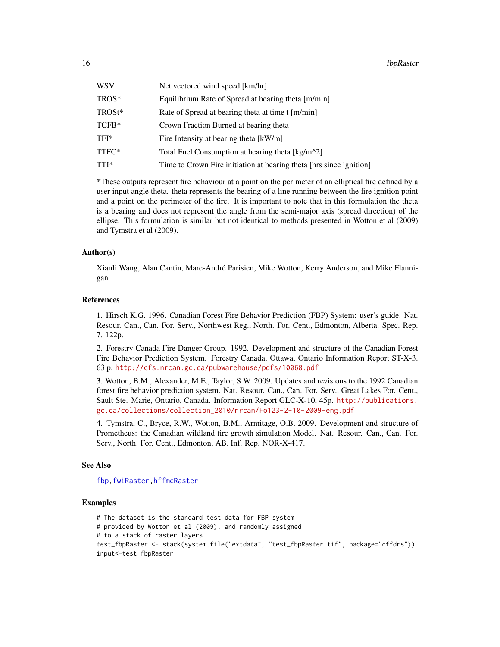<span id="page-15-0"></span>

| WSV    | Net vectored wind speed [km/hr]                                     |
|--------|---------------------------------------------------------------------|
| TROS*  | Equilibrium Rate of Spread at bearing theta [m/min]                 |
| TROSt* | Rate of Spread at bearing theta at time t [m/min]                   |
| TCFB*  | Crown Fraction Burned at bearing theta                              |
| TFI*   | Fire Intensity at bearing theta [kW/m]                              |
| TTFC*  | Total Fuel Consumption at bearing theta [kg/m^2]                    |
| TTI*   | Time to Crown Fire initiation at bearing theta [hrs since ignition] |
|        |                                                                     |

\*These outputs represent fire behaviour at a point on the perimeter of an elliptical fire defined by a user input angle theta. theta represents the bearing of a line running between the fire ignition point and a point on the perimeter of the fire. It is important to note that in this formulation the theta is a bearing and does not represent the angle from the semi-major axis (spread direction) of the ellipse. This formulation is similar but not identical to methods presented in Wotton et al (2009) and Tymstra et al (2009).

# Author(s)

Xianli Wang, Alan Cantin, Marc-André Parisien, Mike Wotton, Kerry Anderson, and Mike Flannigan

# References

1. Hirsch K.G. 1996. Canadian Forest Fire Behavior Prediction (FBP) System: user's guide. Nat. Resour. Can., Can. For. Serv., Northwest Reg., North. For. Cent., Edmonton, Alberta. Spec. Rep. 7. 122p.

2. Forestry Canada Fire Danger Group. 1992. Development and structure of the Canadian Forest Fire Behavior Prediction System. Forestry Canada, Ottawa, Ontario Information Report ST-X-3. 63 p. <http://cfs.nrcan.gc.ca/pubwarehouse/pdfs/10068.pdf>

3. Wotton, B.M., Alexander, M.E., Taylor, S.W. 2009. Updates and revisions to the 1992 Canadian forest fire behavior prediction system. Nat. Resour. Can., Can. For. Serv., Great Lakes For. Cent., Sault Ste. Marie, Ontario, Canada. Information Report GLC-X-10, 45p. [http://publications.](http://publications.gc.ca/collections/collection_2010/nrcan/Fo123-2-10-2009-eng.pdf) [gc.ca/collections/collection\\_2010/nrcan/Fo123-2-10-2009-eng.pdf](http://publications.gc.ca/collections/collection_2010/nrcan/Fo123-2-10-2009-eng.pdf)

4. Tymstra, C., Bryce, R.W., Wotton, B.M., Armitage, O.B. 2009. Development and structure of Prometheus: the Canadian wildland fire growth simulation Model. Nat. Resour. Can., Can. For. Serv., North. For. Cent., Edmonton, AB. Inf. Rep. NOR-X-417.

# See Also

[fbp](#page-4-1)[,fwiRaster](#page-23-1)[,hffmcRaster](#page-32-1)

# Examples

```
# The dataset is the standard test data for FBP system
# provided by Wotton et al (2009), and randomly assigned
# to a stack of raster layers
test_fbpRaster <- stack(system.file("extdata", "test_fbpRaster.tif", package="cffdrs"))
input<-test_fbpRaster
```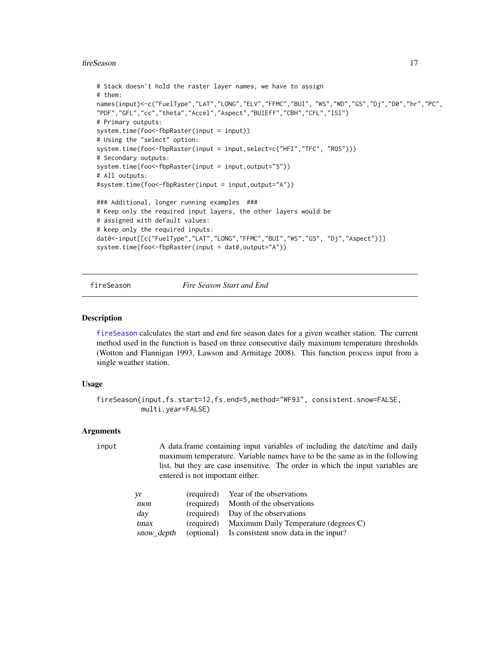#### <span id="page-16-0"></span>fireSeason 17

```
# Stack doesn't hold the raster layer names, we have to assign
# them:
names(input)<-c("FuelType","LAT","LONG","ELV","FFMC","BUI", "WS","WD","GS","Dj","D0","hr","PC",
"PDF","GFL","cc","theta","Accel","Aspect","BUIEff","CBH","CFL","ISI")
# Primary outputs:
system.time(foo<-fbpRaster(input = input))
# Using the "select" option:
system.time(foo<-fbpRaster(input = input,select=c("HFI","TFC", "ROS")))
# Secondary outputs:
system.time(foo<-fbpRaster(input = input,output="S"))
# All outputs:
#system.time(foo<-fbpRaster(input = input,output="A"))
### Additional, longer running examples ###
# Keep only the required input layers, the other layers would be
# assigned with default values:
# keep only the required inputs:
dat0<-input[[c("FuelType","LAT","LONG","FFMC","BUI","WS","GS", "Dj","Aspect")]]
system.time(foo<-fbpRaster(input = dat0,output="A"))
```
#### fireSeason *Fire Season Start and End*

#### Description

[fireSeason](#page-16-1) calculates the start and end fire season dates for a given weather station. The current method used in the function is based on three consecutive daily maximum temperature thresholds (Wotton and Flannigan 1993, Lawson and Armitage 2008). This function process input from a single weather station.

# Usage

```
fireSeason(input,fs.start=12,fs.end=5,method="WF93", consistent.snow=FALSE,
           multi.year=FALSE)
```
# Arguments

```
maximum temperature. Variable names have to be the same as in the following
      list, but they are case insensitive. The order in which the input variables are
      entered is not important either.
yr (required) Year of the observations
mon (required) Month of the observations
day (required) Day of the observations
tmax (required) Maximum Daily Temperature (degrees C)
snow depth (optional) Is consistent snow data in the input?
```
input A data.frame containing input variables of including the date/time and daily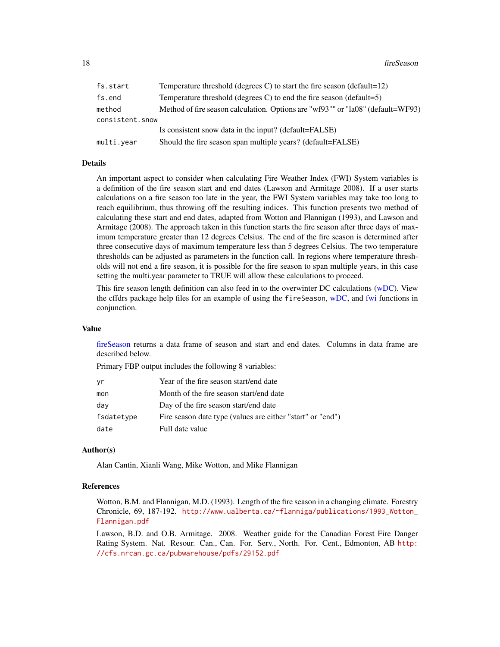<span id="page-17-0"></span>18 fireSeason and the Season and the Season and the Season and the Season and the Season and the Season and the Season and the Season and the Season and the Season and the Season and the Season and the Season and the Seaso

| fs.start                  | Temperature threshold (degrees C) to start the fire season (default= $12$ )     |
|---------------------------|---------------------------------------------------------------------------------|
| fs.end                    | Temperature threshold (degrees C) to end the fire season (default=5)            |
| method<br>consistent.snow | Method of fire season calculation. Options are "wf93"" or "la08" (default=WF93) |
|                           | Is consistent snow data in the input? (default=FALSE)                           |
| multi.year                | Should the fire season span multiple years? (default=FALSE)                     |

# Details

An important aspect to consider when calculating Fire Weather Index (FWI) System variables is a definition of the fire season start and end dates (Lawson and Armitage 2008). If a user starts calculations on a fire season too late in the year, the FWI System variables may take too long to reach equilibrium, thus throwing off the resulting indices. This function presents two method of calculating these start and end dates, adapted from Wotton and Flannigan (1993), and Lawson and Armitage (2008). The approach taken in this function starts the fire season after three days of maximum temperature greater than 12 degrees Celsius. The end of the fire season is determined after three consecutive days of maximum temperature less than 5 degrees Celsius. The two temperature thresholds can be adjusted as parameters in the function call. In regions where temperature thresholds will not end a fire season, it is possible for the fire season to span multiple years, in this case setting the multi.year parameter to TRUE will allow these calculations to proceed.

This fire season length definition can also feed in to the overwinter DC calculations [\(wDC\)](#page-46-1). View the cffdrs package help files for an example of using the fireSeason, [wDC,](#page-46-1) and [fwi](#page-19-1) functions in conjunction.

# Value

[fireSeason](#page-16-1) returns a data frame of season and start and end dates. Columns in data frame are described below.

Primary FBP output includes the following 8 variables:

| γr         | Year of the fire season start/end date                     |
|------------|------------------------------------------------------------|
| mon        | Month of the fire season start/end date                    |
| day        | Day of the fire season start/end date                      |
| fsdatetype | Fire season date type (values are either "start" or "end") |
| date       | Full date value                                            |

# Author(s)

Alan Cantin, Xianli Wang, Mike Wotton, and Mike Flannigan

# References

Wotton, B.M. and Flannigan, M.D. (1993). Length of the fire season in a changing climate. Forestry Chronicle, 69, 187-192. [http://www.ualberta.ca/~flanniga/publications/1993\\_Wotton\\_](http://www.ualberta.ca/~flanniga/publications/1993_Wotton_Flannigan.pdf) [Flannigan.pdf](http://www.ualberta.ca/~flanniga/publications/1993_Wotton_Flannigan.pdf)

Lawson, B.D. and O.B. Armitage. 2008. Weather guide for the Canadian Forest Fire Danger Rating System. Nat. Resour. Can., Can. For. Serv., North. For. Cent., Edmonton, AB [http:](http://cfs.nrcan.gc.ca/pubwarehouse/pdfs/29152.pdf) [//cfs.nrcan.gc.ca/pubwarehouse/pdfs/29152.pdf](http://cfs.nrcan.gc.ca/pubwarehouse/pdfs/29152.pdf)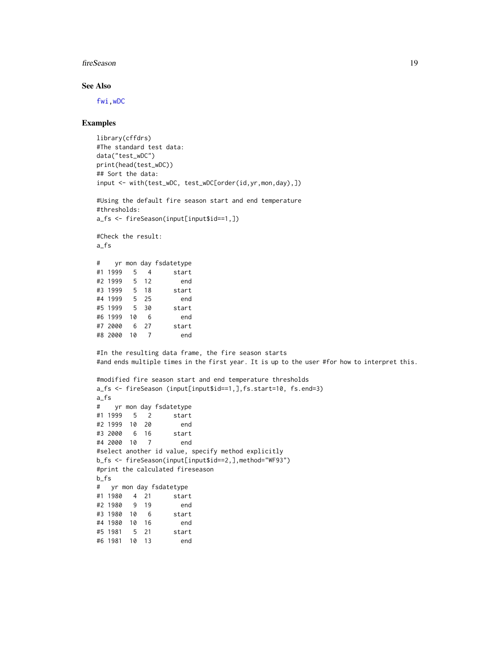#### <span id="page-18-0"></span>fireSeason and the season and the season and the season and the season and the season and the season and the season and the season and the season and the season and the season and the season and the season and the season a

# See Also

[fwi](#page-19-1)[,wDC](#page-46-1)

# Examples

```
library(cffdrs)
#The standard test data:
data("test_wDC")
print(head(test_wDC))
## Sort the data:
input <- with(test_wDC, test_wDC[order(id,yr,mon,day),])
#Using the default fire season start and end temperature
#thresholds:
a_fs <- fireSeason(input[input$id==1,])
#Check the result:
a_fs
# yr mon day fsdatetype
#1 1999 5 4 start
#2 1999 5 12 end
#3 1999 5 18 start
#4 1999 5 25 end
#5 1999 5 30 start
#6 1999 10 6 end
#7 2000 6 27 start
#8 2000 10 7 end
#In the resulting data frame, the fire season starts
#and ends multiple times in the first year. It is up to the user #for how to interpret this.
#modified fire season start and end temperature thresholds
a_fs <- fireSeason (input[input$id==1,],fs.start=10, fs.end=3)
a_fs
# yr mon day fsdatetype
#1 1999 5 2 start
#2 1999 10 20 end
#3 2000 6 16 start
#4 2000 10 7 end
#select another id value, specify method explicitly
b_fs <- fireSeason(input[input$id==2,],method="WF93")
#print the calculated fireseason
b_fs
# yr mon day fsdatetype
#1 1980 4 21 start
#2 1980 9 19 end
#3 1980 10 6 start
#4 1980 10 16 end
#5 1981 5 21 start
#6 1981 10 13 end
```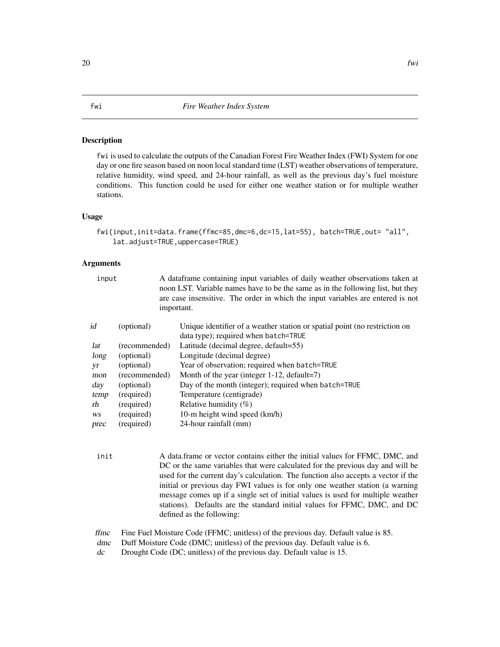# <span id="page-19-1"></span><span id="page-19-0"></span>Description

fwi is used to calculate the outputs of the Canadian Forest Fire Weather Index (FWI) System for one day or one fire season based on noon local standard time (LST) weather observations of temperature, relative humidity, wind speed, and 24-hour rainfall, as well as the previous day's fuel moisture conditions. This function could be used for either one weather station or for multiple weather stations.

# Usage

```
fwi(input,init=data.frame(ffmc=85,dmc=6,dc=15,lat=55), batch=TRUE,out= "all",
   lat.adjust=TRUE,uppercase=TRUE)
```
# Arguments

| input |               | A data frame containing input variables of daily weather observations taken at<br>noon LST. Variable names have to be the same as in the following list, but they<br>are case insensitive. The order in which the input variables are entered is not<br>important. |
|-------|---------------|--------------------------------------------------------------------------------------------------------------------------------------------------------------------------------------------------------------------------------------------------------------------|
| id    | (optional)    | Unique identifier of a weather station or spatial point (no restriction on<br>data type); required when batch=TRUE                                                                                                                                                 |
| lat   | (recommended) | Latitude (decimal degree, default=55)                                                                                                                                                                                                                              |
| long  | (optional)    | Longitude (decimal degree)                                                                                                                                                                                                                                         |
| yr    | (optional)    | Year of observation; required when batch=TRUE                                                                                                                                                                                                                      |
| mon   | (recommended) | Month of the year (integer $1-12$ , default=7)                                                                                                                                                                                                                     |
| day   | (optional)    | Day of the month (integer); required when batch=TRUE                                                                                                                                                                                                               |
| temp  | (required)    | Temperature (centigrade)                                                                                                                                                                                                                                           |
| rh    | (required)    | Relative humidity $(\%)$                                                                                                                                                                                                                                           |
| WS    | (required)    | 10-m height wind speed (km/h)                                                                                                                                                                                                                                      |
| prec  | (required)    | 24-hour rainfall (mm)                                                                                                                                                                                                                                              |
|       |               |                                                                                                                                                                                                                                                                    |

init A data.frame or vector contains either the initial values for FFMC, DMC, and DC or the same variables that were calculated for the previous day and will be used for the current day's calculation. The function also accepts a vector if the initial or previous day FWI values is for only one weather station (a warning message comes up if a single set of initial values is used for multiple weather stations). Defaults are the standard initial values for FFMC, DMC, and DC defined as the following:

ffmc Fine Fuel Moisture Code (FFMC; unitless) of the previous day. Default value is 85.

- dmc Duff Moisture Code (DMC; unitless) of the previous day. Default value is 6.
- dc Drought Code (DC; unitless) of the previous day. Default value is 15.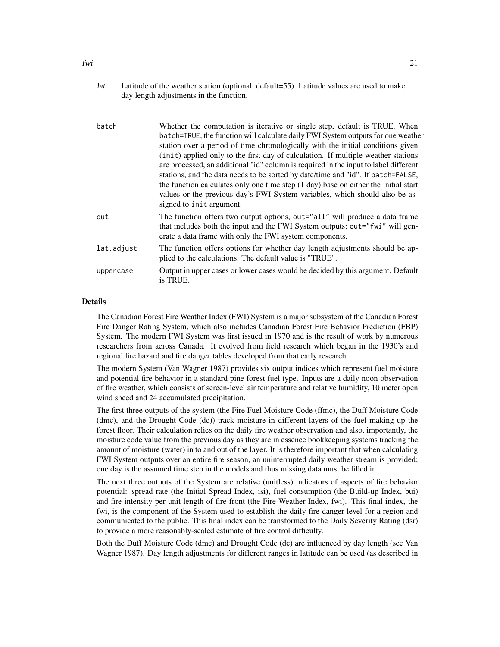| lat | Latitude of the weather station (optional, default=55). Latitude values are used to make |
|-----|------------------------------------------------------------------------------------------|
|     | day length adjustments in the function.                                                  |

| batch      | Whether the computation is iterative or single step, default is TRUE. When                                                                                                                                                                                                                                                                                                                                                                                                                                                                                                                                                             |
|------------|----------------------------------------------------------------------------------------------------------------------------------------------------------------------------------------------------------------------------------------------------------------------------------------------------------------------------------------------------------------------------------------------------------------------------------------------------------------------------------------------------------------------------------------------------------------------------------------------------------------------------------------|
|            | batch=TRUE, the function will calculate daily FWI System outputs for one weather<br>station over a period of time chronologically with the initial conditions given<br>(init) applied only to the first day of calculation. If multiple weather stations<br>are processed, an additional "id" column is required in the input to label different<br>stations, and the data needs to be sorted by date/time and "id". If batch=FALSE,<br>the function calculates only one time step (1 day) base on either the initial start<br>values or the previous day's FWI System variables, which should also be as-<br>signed to init argument. |
| out        | The function offers two output options, out="all" will produce a data frame<br>that includes both the input and the FWI System outputs; out="fwi" will gen-<br>erate a data frame with only the FWI system components.                                                                                                                                                                                                                                                                                                                                                                                                                 |
| lat.adjust | The function offers options for whether day length adjustments should be ap-<br>plied to the calculations. The default value is "TRUE".                                                                                                                                                                                                                                                                                                                                                                                                                                                                                                |
| uppercase  | Output in upper cases or lower cases would be decided by this argument. Default<br>is TRUE.                                                                                                                                                                                                                                                                                                                                                                                                                                                                                                                                            |

# Details

The Canadian Forest Fire Weather Index (FWI) System is a major subsystem of the Canadian Forest Fire Danger Rating System, which also includes Canadian Forest Fire Behavior Prediction (FBP) System. The modern FWI System was first issued in 1970 and is the result of work by numerous researchers from across Canada. It evolved from field research which began in the 1930's and regional fire hazard and fire danger tables developed from that early research.

The modern System (Van Wagner 1987) provides six output indices which represent fuel moisture and potential fire behavior in a standard pine forest fuel type. Inputs are a daily noon observation of fire weather, which consists of screen-level air temperature and relative humidity, 10 meter open wind speed and 24 accumulated precipitation.

The first three outputs of the system (the Fire Fuel Moisture Code (ffmc), the Duff Moisture Code (dmc), and the Drought Code (dc)) track moisture in different layers of the fuel making up the forest floor. Their calculation relies on the daily fire weather observation and also, importantly, the moisture code value from the previous day as they are in essence bookkeeping systems tracking the amount of moisture (water) in to and out of the layer. It is therefore important that when calculating FWI System outputs over an entire fire season, an uninterrupted daily weather stream is provided; one day is the assumed time step in the models and thus missing data must be filled in.

The next three outputs of the System are relative (unitless) indicators of aspects of fire behavior potential: spread rate (the Initial Spread Index, isi), fuel consumption (the Build-up Index, bui) and fire intensity per unit length of fire front (the Fire Weather Index, fwi). This final index, the fwi, is the component of the System used to establish the daily fire danger level for a region and communicated to the public. This final index can be transformed to the Daily Severity Rating (dsr) to provide a more reasonably-scaled estimate of fire control difficulty.

Both the Duff Moisture Code (dmc) and Drought Code (dc) are influenced by day length (see Van Wagner 1987). Day length adjustments for different ranges in latitude can be used (as described in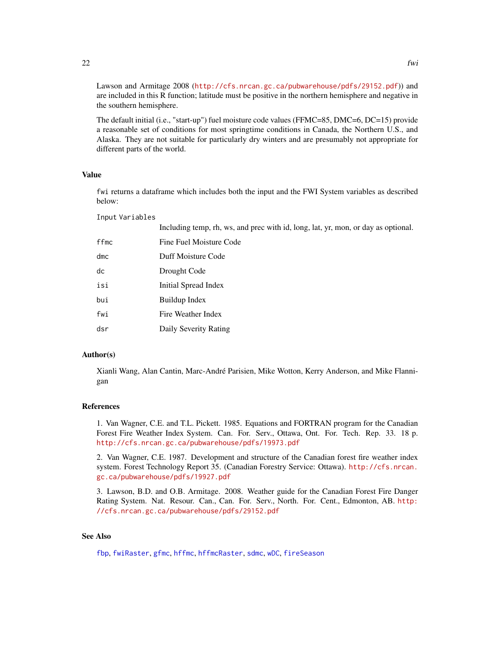<span id="page-21-0"></span>Lawson and Armitage 2008 (<http://cfs.nrcan.gc.ca/pubwarehouse/pdfs/29152.pdf>)) and are included in this R function; latitude must be positive in the northern hemisphere and negative in the southern hemisphere.

The default initial (i.e., "start-up") fuel moisture code values (FFMC=85, DMC=6, DC=15) provide a reasonable set of conditions for most springtime conditions in Canada, the Northern U.S., and Alaska. They are not suitable for particularly dry winters and are presumably not appropriate for different parts of the world.

# Value

fwi returns a dataframe which includes both the input and the FWI System variables as described below:

Input Variables

|      | Including temp, rh, ws, and prec with id, long, lat, yr, mon, or day as optional. |
|------|-----------------------------------------------------------------------------------|
| ffmc | Fine Fuel Moisture Code                                                           |
| dmc  | Duff Moisture Code                                                                |
| dc   | Drought Code                                                                      |
| isi  | Initial Spread Index                                                              |
| bui  | Buildup Index                                                                     |
| fwi  | Fire Weather Index                                                                |
| dsr  | Daily Severity Rating                                                             |

# Author(s)

Xianli Wang, Alan Cantin, Marc-André Parisien, Mike Wotton, Kerry Anderson, and Mike Flannigan

# References

1. Van Wagner, C.E. and T.L. Pickett. 1985. Equations and FORTRAN program for the Canadian Forest Fire Weather Index System. Can. For. Serv., Ottawa, Ont. For. Tech. Rep. 33. 18 p. <http://cfs.nrcan.gc.ca/pubwarehouse/pdfs/19973.pdf>

2. Van Wagner, C.E. 1987. Development and structure of the Canadian forest fire weather index system. Forest Technology Report 35. (Canadian Forestry Service: Ottawa). [http://cfs.nrcan.](http://cfs.nrcan.gc.ca/pubwarehouse/pdfs/19927.pdf) [gc.ca/pubwarehouse/pdfs/19927.pdf](http://cfs.nrcan.gc.ca/pubwarehouse/pdfs/19927.pdf)

3. Lawson, B.D. and O.B. Armitage. 2008. Weather guide for the Canadian Forest Fire Danger Rating System. Nat. Resour. Can., Can. For. Serv., North. For. Cent., Edmonton, AB. [http:](http://cfs.nrcan.gc.ca/pubwarehouse/pdfs/29152.pdf) [//cfs.nrcan.gc.ca/pubwarehouse/pdfs/29152.pdf](http://cfs.nrcan.gc.ca/pubwarehouse/pdfs/29152.pdf)

# See Also

[fbp](#page-4-1), [fwiRaster](#page-23-1), [gfmc](#page-26-1), [hffmc](#page-28-1), [hffmcRaster](#page-32-1), [sdmc](#page-39-1), [wDC](#page-46-1), [fireSeason](#page-16-1)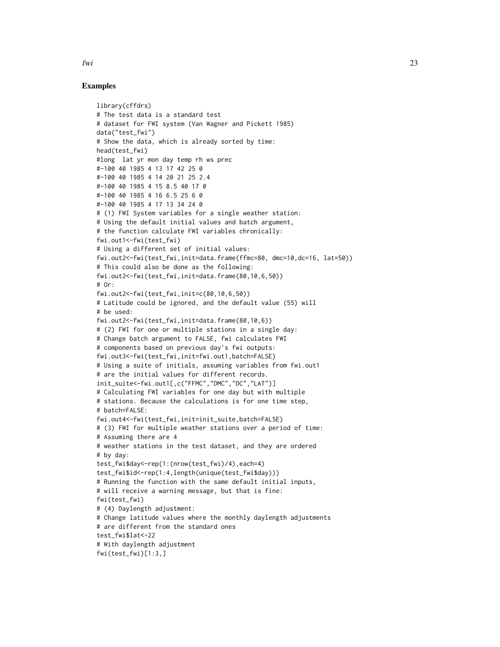# Examples

```
library(cffdrs)
# The test data is a standard test
# dataset for FWI system (Van Wagner and Pickett 1985)
data("test_fwi")
# Show the data, which is already sorted by time:
head(test_fwi)
#long lat yr mon day temp rh ws prec
#-100 40 1985 4 13 17 42 25 0
#-100 40 1985 4 14 20 21 25 2.4
#-100 40 1985 4 15 8.5 40 17 0
#-100 40 1985 4 16 6.5 25 6 0
#-100 40 1985 4 17 13 34 24 0
# (1) FWI System variables for a single weather station:
# Using the default initial values and batch argument,
# the function calculate FWI variables chronically:
fwi.out1<-fwi(test_fwi)
# Using a different set of initial values:
fwi.out2<-fwi(test_fwi,init=data.frame(ffmc=80, dmc=10,dc=16, lat=50))
# This could also be done as the following:
fwi.out2<-fwi(test_fwi,init=data.frame(80,10,6,50))
# Or:
fwi.out2<-fwi(test_fwi,init=c(80,10,6,50))
# Latitude could be ignored, and the default value (55) will
# be used:
fwi.out2<-fwi(test_fwi,init=data.frame(80,10,6))
# (2) FWI for one or multiple stations in a single day:
# Change batch argument to FALSE, fwi calculates FWI
# components based on previous day's fwi outputs:
fwi.out3<-fwi(test_fwi,init=fwi.out1,batch=FALSE)
# Using a suite of initials, assuming variables from fwi.out1
# are the initial values for different records.
init_suite<-fwi.out1[,c("FFMC","DMC","DC","LAT")]
# Calculating FWI variables for one day but with multiple
# stations. Because the calculations is for one time step,
# batch=FALSE:
fwi.out4<-fwi(test_fwi,init=init_suite,batch=FALSE)
# (3) FWI for multiple weather stations over a period of time:
# Assuming there are 4
# weather stations in the test dataset, and they are ordered
# by day:
test_fwi$day<-rep(1:(nrow(test_fwi)/4),each=4)
test_fwi$id<-rep(1:4,length(unique(test_fwi$day)))
# Running the function with the same default initial inputs,
# will receive a warning message, but that is fine:
fwi(test_fwi)
# (4) Daylength adjustment:
# Change latitude values where the monthly daylength adjustments
# are different from the standard ones
test_fwi$lat<-22
# With daylength adjustment
fwi(test_fwi)[1:3,]
```
fwi 23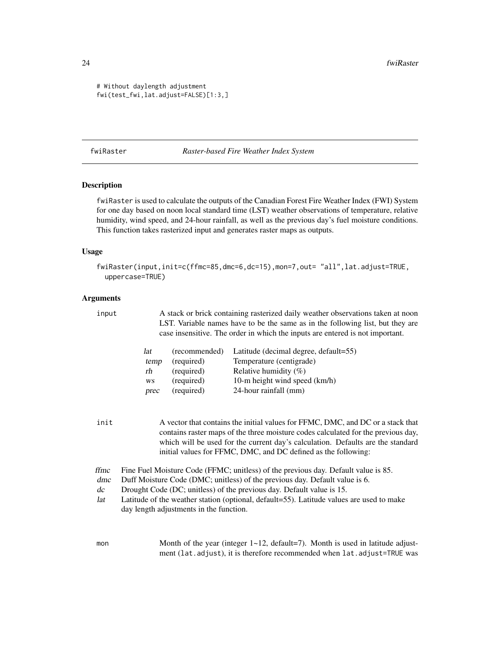```
# Without daylength adjustment
fwi(test_fwi,lat.adjust=FALSE)[1:3,]
```
<span id="page-23-1"></span>fwiRaster *Raster-based Fire Weather Index System*

# Description

fwiRaster is used to calculate the outputs of the Canadian Forest Fire Weather Index (FWI) System for one day based on noon local standard time (LST) weather observations of temperature, relative humidity, wind speed, and 24-hour rainfall, as well as the previous day's fuel moisture conditions. This function takes rasterized input and generates raster maps as outputs.

# Usage

```
fwiRaster(input,init=c(ffmc=85,dmc=6,dc=15),mon=7,out= "all",lat.adjust=TRUE,
 uppercase=TRUE)
```
# Arguments

input A stack or brick containing rasterized daily weather observations taken at noon LST. Variable names have to be the same as in the following list, but they are case insensitive. The order in which the inputs are entered is not important. lat (recommended) Latitude (decimal degree, default=55) temp (required) Temperature (centigrade)  $r$ h (required) Relative humidity  $(\%)$ ws (required) 10-m height wind speed (km/h) prec (required) 24-hour rainfall (mm) init A vector that contains the initial values for FFMC, DMC, and DC or a stack that contains raster maps of the three moisture codes calculated for the previous day, which will be used for the current day's calculation. Defaults are the standard initial values for FFMC, DMC, and DC defined as the following: ffmc Fine Fuel Moisture Code (FFMC; unitless) of the previous day. Default value is 85. dmc Duff Moisture Code (DMC; unitless) of the previous day. Default value is 6. dc Drought Code (DC; unitless) of the previous day. Default value is 15. lat Latitude of the weather station (optional, default=55). Latitude values are used to make day length adjustments in the function.

mon Month of the year (integer  $1 \sim 12$ , default=7). Month is used in latitude adjustment (lat.adjust), it is therefore recommended when lat.adjust=TRUE was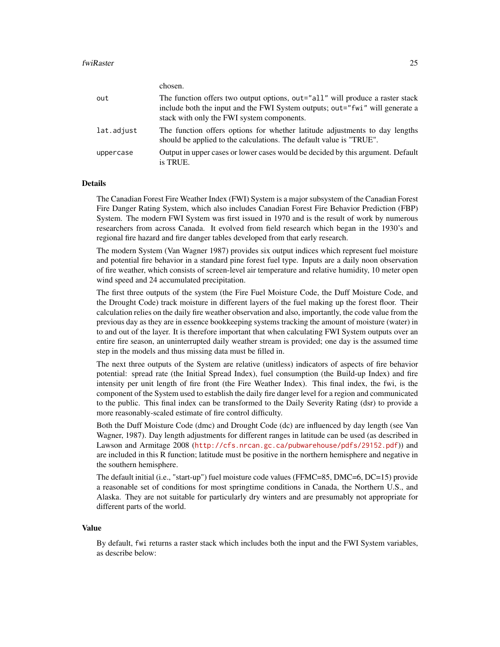#### fwiRaster 25

chosen.

|            | chosen.                                                                                                                                                                                                     |
|------------|-------------------------------------------------------------------------------------------------------------------------------------------------------------------------------------------------------------|
| out        | The function offers two output options, out="all" will produce a raster stack<br>include both the input and the FWI System outputs; out="fwi" will generate a<br>stack with only the FWI system components. |
| lat.adjust | The function offers options for whether latitude adjustments to day lengths<br>should be applied to the calculations. The default value is "TRUE".                                                          |
| uppercase  | Output in upper cases or lower cases would be decided by this argument. Default<br>is TRUE.                                                                                                                 |

# Details

The Canadian Forest Fire Weather Index (FWI) System is a major subsystem of the Canadian Forest Fire Danger Rating System, which also includes Canadian Forest Fire Behavior Prediction (FBP) System. The modern FWI System was first issued in 1970 and is the result of work by numerous researchers from across Canada. It evolved from field research which began in the 1930's and regional fire hazard and fire danger tables developed from that early research.

The modern System (Van Wagner 1987) provides six output indices which represent fuel moisture and potential fire behavior in a standard pine forest fuel type. Inputs are a daily noon observation of fire weather, which consists of screen-level air temperature and relative humidity, 10 meter open wind speed and 24 accumulated precipitation.

The first three outputs of the system (the Fire Fuel Moisture Code, the Duff Moisture Code, and the Drought Code) track moisture in different layers of the fuel making up the forest floor. Their calculation relies on the daily fire weather observation and also, importantly, the code value from the previous day as they are in essence bookkeeping systems tracking the amount of moisture (water) in to and out of the layer. It is therefore important that when calculating FWI System outputs over an entire fire season, an uninterrupted daily weather stream is provided; one day is the assumed time step in the models and thus missing data must be filled in.

The next three outputs of the System are relative (unitless) indicators of aspects of fire behavior potential: spread rate (the Initial Spread Index), fuel consumption (the Build-up Index) and fire intensity per unit length of fire front (the Fire Weather Index). This final index, the fwi, is the component of the System used to establish the daily fire danger level for a region and communicated to the public. This final index can be transformed to the Daily Severity Rating (dsr) to provide a more reasonably-scaled estimate of fire control difficulty.

Both the Duff Moisture Code (dmc) and Drought Code (dc) are influenced by day length (see Van Wagner, 1987). Day length adjustments for different ranges in latitude can be used (as described in Lawson and Armitage 2008 (<http://cfs.nrcan.gc.ca/pubwarehouse/pdfs/29152.pdf>)) and are included in this R function; latitude must be positive in the northern hemisphere and negative in the southern hemisphere.

The default initial (i.e., "start-up") fuel moisture code values (FFMC=85, DMC=6, DC=15) provide a reasonable set of conditions for most springtime conditions in Canada, the Northern U.S., and Alaska. They are not suitable for particularly dry winters and are presumably not appropriate for different parts of the world.

#### Value

By default, fwi returns a raster stack which includes both the input and the FWI System variables, as describe below: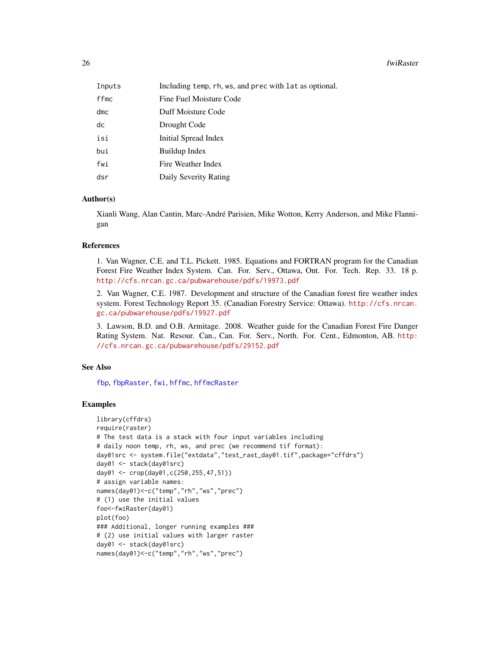#### <span id="page-25-0"></span>26 fwiRaster and the state of the state of the state of the state of the state of the state of the state of the state of the state of the state of the state of the state of the state of the state of the state of the state

| Inputs | Including temp, rh, ws, and prec with lat as optional. |
|--------|--------------------------------------------------------|
| ffmc   | Fine Fuel Moisture Code                                |
| dmc    | Duff Moisture Code                                     |
| dc     | Drought Code                                           |
| isi    | Initial Spread Index                                   |
| bui    | Buildup Index                                          |
| fwi    | Fire Weather Index                                     |
| dsr    | Daily Severity Rating                                  |

# Author(s)

Xianli Wang, Alan Cantin, Marc-André Parisien, Mike Wotton, Kerry Anderson, and Mike Flannigan

#### **References**

1. Van Wagner, C.E. and T.L. Pickett. 1985. Equations and FORTRAN program for the Canadian Forest Fire Weather Index System. Can. For. Serv., Ottawa, Ont. For. Tech. Rep. 33. 18 p. <http://cfs.nrcan.gc.ca/pubwarehouse/pdfs/19973.pdf>

2. Van Wagner, C.E. 1987. Development and structure of the Canadian forest fire weather index system. Forest Technology Report 35. (Canadian Forestry Service: Ottawa). [http://cfs.nrcan.](http://cfs.nrcan.gc.ca/pubwarehouse/pdfs/19927.pdf) [gc.ca/pubwarehouse/pdfs/19927.pdf](http://cfs.nrcan.gc.ca/pubwarehouse/pdfs/19927.pdf)

3. Lawson, B.D. and O.B. Armitage. 2008. Weather guide for the Canadian Forest Fire Danger Rating System. Nat. Resour. Can., Can. For. Serv., North. For. Cent., Edmonton, AB. [http:](http://cfs.nrcan.gc.ca/pubwarehouse/pdfs/29152.pdf) [//cfs.nrcan.gc.ca/pubwarehouse/pdfs/29152.pdf](http://cfs.nrcan.gc.ca/pubwarehouse/pdfs/29152.pdf)

# See Also

[fbp](#page-4-1), [fbpRaster](#page-10-1), [fwi](#page-19-1), [hffmc](#page-28-1), [hffmcRaster](#page-32-1)

# Examples

```
library(cffdrs)
require(raster)
# The test data is a stack with four input variables including
# daily noon temp, rh, ws, and prec (we recommend tif format):
day01src <- system.file("extdata","test_rast_day01.tif",package="cffdrs")
day01 <- stack(day01src)
day01 <- crop(day01,c(250,255,47,51))
# assign variable names:
names(day01)<-c("temp","rh","ws","prec")
# (1) use the initial values
foo<-fwiRaster(day01)
plot(foo)
### Additional, longer running examples ###
# (2) use initial values with larger raster
day01 <- stack(day01src)
names(day01)<-c("temp","rh","ws","prec")
```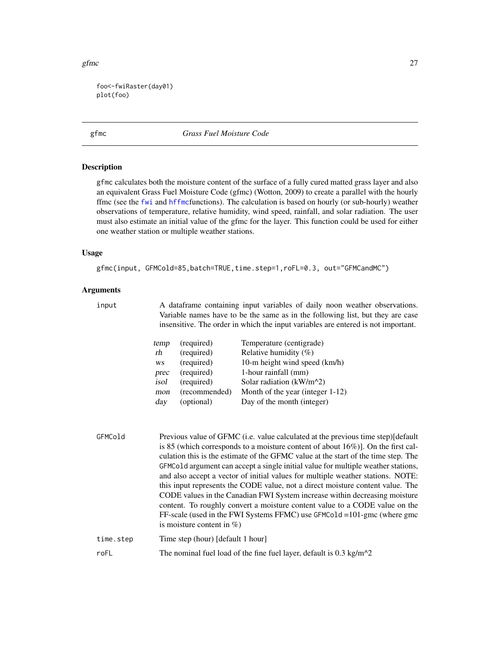<span id="page-26-0"></span>gfmc  $27$ 

foo<-fwiRaster(day01) plot(foo)

<span id="page-26-1"></span>gfmc *Grass Fuel Moisture Code*

# Description

gfmc calculates both the moisture content of the surface of a fully cured matted grass layer and also an equivalent Grass Fuel Moisture Code (gfmc) (Wotton, 2009) to create a parallel with the hourly ffmc (see the [fwi](#page-19-1) and [hffmc](#page-28-1)functions). The calculation is based on hourly (or sub-hourly) weather observations of temperature, relative humidity, wind speed, rainfall, and solar radiation. The user must also estimate an initial value of the gfmc for the layer. This function could be used for either one weather station or multiple weather stations.

# Usage

gfmc(input, GFMCold=85,batch=TRUE,time.step=1,roFL=0.3, out="GFMCandMC")

# Arguments

input A dataframe containing input variables of daily noon weather observations. Variable names have to be the same as in the following list, but they are case insensitive. The order in which the input variables are entered is not important.

| temp | (required)    | Temperature (centigrade)         |
|------|---------------|----------------------------------|
| rh   | (required)    | Relative humidity $(\%)$         |
| WS   | (required)    | 10-m height wind speed (km/h)    |
| prec | (required)    | 1-hour rainfall (mm)             |
| isol | (required)    | Solar radiation $(kW/m^2)$       |
| mon  | (recommended) | Month of the year (integer 1-12) |
| day  | (optional)    | Day of the month (integer)       |

| GFMCold   | Previous value of GFMC (i.e. value calculated at the previous time step)[default]    |
|-----------|--------------------------------------------------------------------------------------|
|           | is 85 (which corresponds to a moisture content of about $16\%)$ ). On the first cal- |
|           | culation this is the estimate of the GFMC value at the start of the time step. The   |
|           | GFMCold argument can accept a single initial value for multiple weather stations,    |
|           | and also accept a vector of initial values for multiple weather stations. NOTE:      |
|           | this input represents the CODE value, not a direct moisture content value. The       |
|           | CODE values in the Canadian FWI System increase within decreasing moisture           |
|           | content. To roughly convert a moisture content value to a CODE value on the          |
|           | FF-scale (used in the FWI Systems FFMC) use GFMCo1d = 101-gmc (where gmc             |
|           | is moisture content in $\%$ )                                                        |
| time.step | Time step (hour) [default 1 hour]                                                    |
| roFL      | The nominal fuel load of the fine fuel layer, default is $0.3 \text{ kg/m}^2$        |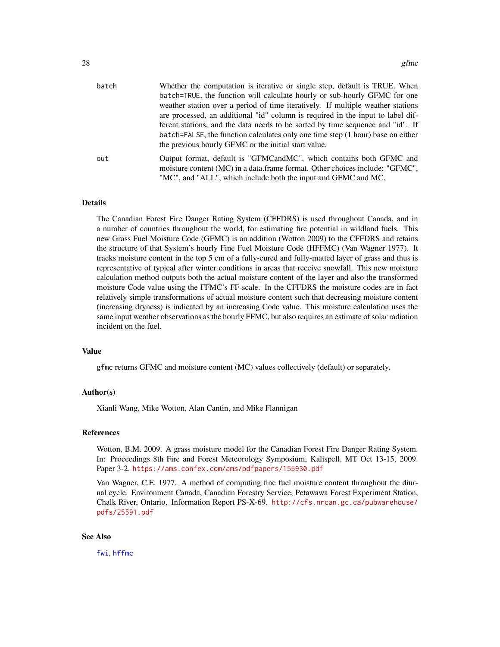<span id="page-27-0"></span>

| batch | Whether the computation is iterative or single step, default is TRUE. When      |
|-------|---------------------------------------------------------------------------------|
|       | batch=TRUE, the function will calculate hourly or sub-hourly GFMC for one       |
|       | weather station over a period of time iteratively. If multiple weather stations |
|       | are processed, an additional "id" column is required in the input to label dif- |
|       | ferent stations, and the data needs to be sorted by time sequence and "id". If  |
|       | batch=FALSE, the function calculates only one time step (1 hour) base on either |
|       | the previous hourly GFMC or the initial start value.                            |
| out   | Output format, default is "GFMCandMC", which contains both GFMC and             |
|       | moisture content (MC) in a data.frame format. Other choices include: "GFMC",    |
|       | "MC", and "ALL", which include both the input and GFMC and MC.                  |

#### Details

The Canadian Forest Fire Danger Rating System (CFFDRS) is used throughout Canada, and in a number of countries throughout the world, for estimating fire potential in wildland fuels. This new Grass Fuel Moisture Code (GFMC) is an addition (Wotton 2009) to the CFFDRS and retains the structure of that System's hourly Fine Fuel Moisture Code (HFFMC) (Van Wagner 1977). It tracks moisture content in the top 5 cm of a fully-cured and fully-matted layer of grass and thus is representative of typical after winter conditions in areas that receive snowfall. This new moisture calculation method outputs both the actual moisture content of the layer and also the transformed moisture Code value using the FFMC's FF-scale. In the CFFDRS the moisture codes are in fact relatively simple transformations of actual moisture content such that decreasing moisture content (increasing dryness) is indicated by an increasing Code value. This moisture calculation uses the same input weather observations as the hourly FFMC, but also requires an estimate of solar radiation incident on the fuel.

# Value

gfmc returns GFMC and moisture content (MC) values collectively (default) or separately.

#### Author(s)

Xianli Wang, Mike Wotton, Alan Cantin, and Mike Flannigan

#### References

Wotton, B.M. 2009. A grass moisture model for the Canadian Forest Fire Danger Rating System. In: Proceedings 8th Fire and Forest Meteorology Symposium, Kalispell, MT Oct 13-15, 2009. Paper 3-2. <https://ams.confex.com/ams/pdfpapers/155930.pdf>

Van Wagner, C.E. 1977. A method of computing fine fuel moisture content throughout the diurnal cycle. Environment Canada, Canadian Forestry Service, Petawawa Forest Experiment Station, Chalk River, Ontario. Information Report PS-X-69. [http://cfs.nrcan.gc.ca/pubwarehouse/](http://cfs.nrcan.gc.ca/pubwarehouse/pdfs/25591.pdf) [pdfs/25591.pdf](http://cfs.nrcan.gc.ca/pubwarehouse/pdfs/25591.pdf)

#### See Also

[fwi](#page-19-1), [hffmc](#page-28-1)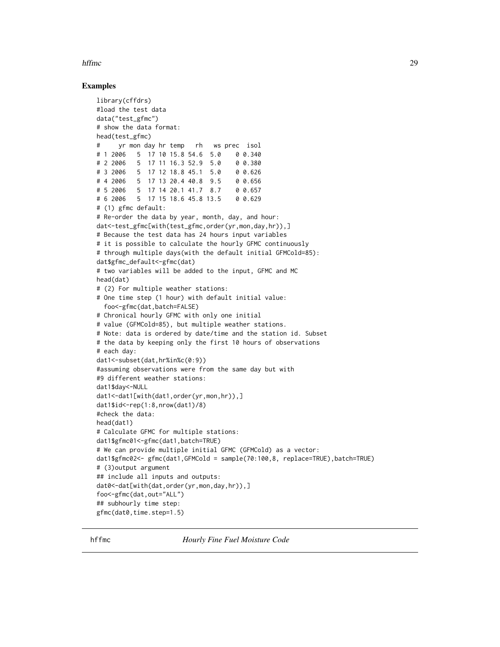# <span id="page-28-0"></span>hffmc 29

# Examples

```
library(cffdrs)
#load the test data
data("test_gfmc")
# show the data format:
head(test_gfmc)
# yr mon day hr temp rh ws prec isol
# 1 2006 5 17 10 15.8 54.6 5.0 0 0.340
# 2 2006 5 17 11 16.3 52.9 5.0 0 0.380
# 3 2006 5 17 12 18.8 45.1 5.0 0 0.626
# 4 2006 5 17 13 20.4 40.8 9.5
# 5 2006 5 17 14 20.1 41.7 8.7 0 0.657
# 6 2006 5 17 15 18.6 45.8 13.5 0 0.629
# (1) gfmc default:
# Re-order the data by year, month, day, and hour:
dat<-test_gfmc[with(test_gfmc,order(yr,mon,day,hr)),]
# Because the test data has 24 hours input variables
# it is possible to calculate the hourly GFMC continuously
# through multiple days(with the default initial GFMCold=85):
dat$gfmc_default<-gfmc(dat)
# two variables will be added to the input, GFMC and MC
head(dat)
# (2) For multiple weather stations:
# One time step (1 hour) with default initial value:
 foo<-gfmc(dat,batch=FALSE)
# Chronical hourly GFMC with only one initial
# value (GFMCold=85), but multiple weather stations.
# Note: data is ordered by date/time and the station id. Subset
# the data by keeping only the first 10 hours of observations
# each day:
dat1<-subset(dat,hr%in%c(0:9))
#assuming observations were from the same day but with
#9 different weather stations:
dat1$day<-NULL
dat1<-dat1[with(dat1,order(yr,mon,hr)),]
dat1$id<-rep(1:8,nrow(dat1)/8)
#check the data:
head(dat1)
# Calculate GFMC for multiple stations:
dat1$gfmc01<-gfmc(dat1,batch=TRUE)
# We can provide multiple initial GFMC (GFMCold) as a vector:
dat1$gfmc02<- gfmc(dat1,GFMCold = sample(70:100,8, replace=TRUE),batch=TRUE)
# (3)output argument
## include all inputs and outputs:
dat0<-dat[with(dat,order(yr,mon,day,hr)),]
foo<-gfmc(dat,out="ALL")
## subhourly time step:
gfmc(dat0,time.step=1.5)
```
<span id="page-28-1"></span>hffmc *Hourly Fine Fuel Moisture Code*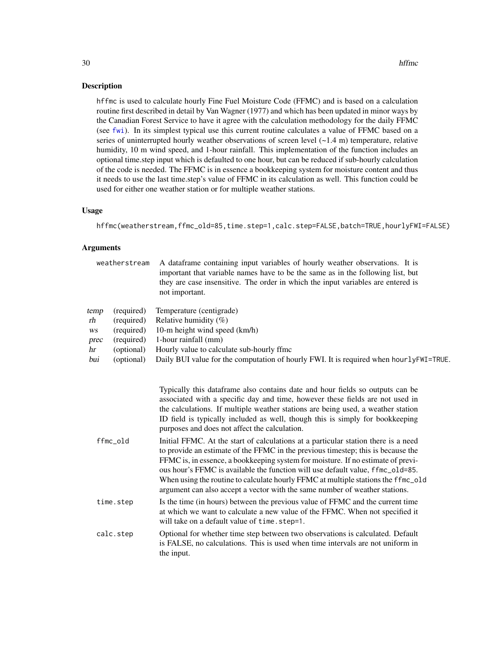# <span id="page-29-0"></span>Description

hffmc is used to calculate hourly Fine Fuel Moisture Code (FFMC) and is based on a calculation routine first described in detail by Van Wagner (1977) and which has been updated in minor ways by the Canadian Forest Service to have it agree with the calculation methodology for the daily FFMC (see [fwi](#page-19-1)). In its simplest typical use this current routine calculates a value of FFMC based on a series of uninterrupted hourly weather observations of screen level  $(-1.4 \text{ m})$  temperature, relative humidity, 10 m wind speed, and 1-hour rainfall. This implementation of the function includes an optional time.step input which is defaulted to one hour, but can be reduced if sub-hourly calculation of the code is needed. The FFMC is in essence a bookkeeping system for moisture content and thus it needs to use the last time.step's value of FFMC in its calculation as well. This function could be used for either one weather station or for multiple weather stations.

# Usage

hffmc(weatherstream,ffmc\_old=85,time.step=1,calc.step=FALSE,batch=TRUE,hourlyFWI=FALSE)

# Arguments

| weatherstream                  |                                                                    | A dataframe containing input variables of hourly weather observations. It is<br>important that variable names have to be the same as in the following list, but<br>they are case insensitive. The order in which the input variables are entered is<br>not important.                                                                                                                                                                                                                                                                                                                                                                                                                                                                                                                                                                                                                                    |  |
|--------------------------------|--------------------------------------------------------------------|----------------------------------------------------------------------------------------------------------------------------------------------------------------------------------------------------------------------------------------------------------------------------------------------------------------------------------------------------------------------------------------------------------------------------------------------------------------------------------------------------------------------------------------------------------------------------------------------------------------------------------------------------------------------------------------------------------------------------------------------------------------------------------------------------------------------------------------------------------------------------------------------------------|--|
| temp<br>rh<br>WS<br>prec<br>hr | (required)<br>(required)<br>(required)<br>(required)<br>(optional) | Temperature (centigrade)<br>Relative humidity $(\%)$<br>10-m height wind speed (km/h)<br>1-hour rainfall (mm)<br>Hourly value to calculate sub-hourly ffmc                                                                                                                                                                                                                                                                                                                                                                                                                                                                                                                                                                                                                                                                                                                                               |  |
| bui                            | (optional)                                                         | Daily BUI value for the computation of hourly FWI. It is required when hourly FWI=TRUE.                                                                                                                                                                                                                                                                                                                                                                                                                                                                                                                                                                                                                                                                                                                                                                                                                  |  |
| ffmc_old                       |                                                                    | Typically this dataframe also contains date and hour fields so outputs can be<br>associated with a specific day and time, however these fields are not used in<br>the calculations. If multiple weather stations are being used, a weather station<br>ID field is typically included as well, though this is simply for bookkeeping<br>purposes and does not affect the calculation.<br>Initial FFMC. At the start of calculations at a particular station there is a need<br>to provide an estimate of the FFMC in the previous timestep; this is because the<br>FFMC is, in essence, a bookkeeping system for moisture. If no estimate of previ-<br>ous hour's FFMC is available the function will use default value, ffmc_old=85.<br>When using the routine to calculate hourly FFMC at multiple stations the ffmc_old<br>argument can also accept a vector with the same number of weather stations. |  |
|                                | time.step                                                          | Is the time (in hours) between the previous value of FFMC and the current time<br>at which we want to calculate a new value of the FFMC. When not specified it<br>will take on a default value of time.step=1.                                                                                                                                                                                                                                                                                                                                                                                                                                                                                                                                                                                                                                                                                           |  |
| calc.step                      |                                                                    | Optional for whether time step between two observations is calculated. Default<br>is FALSE, no calculations. This is used when time intervals are not uniform in<br>the input.                                                                                                                                                                                                                                                                                                                                                                                                                                                                                                                                                                                                                                                                                                                           |  |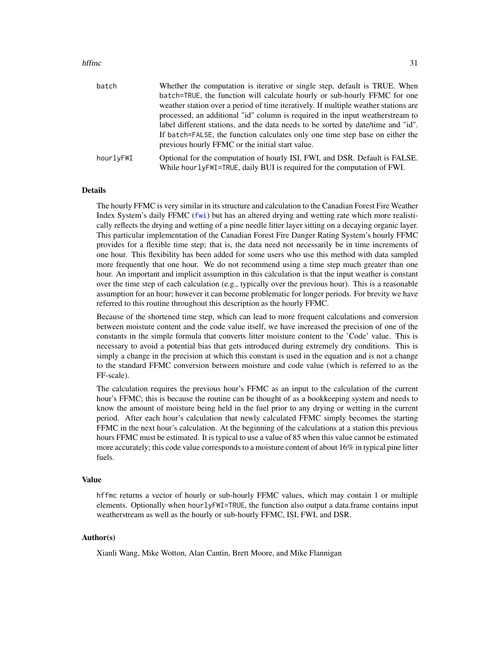#### hffmc 31

| batch                                                                                                                                                                | Whether the computation is iterative or single step, default is TRUE. When<br>batch=TRUE, the function will calculate hourly or sub-hourly FFMC for one<br>weather station over a period of time iteratively. If multiple weather stations are                                                          |
|----------------------------------------------------------------------------------------------------------------------------------------------------------------------|---------------------------------------------------------------------------------------------------------------------------------------------------------------------------------------------------------------------------------------------------------------------------------------------------------|
|                                                                                                                                                                      | processed, an additional "id" column is required in the input weatherstream to<br>label different stations, and the data needs to be sorted by date/time and "id".<br>If batch=FALSE, the function calculates only one time step base on either the<br>previous hourly FFMC or the initial start value. |
| Optional for the computation of hourly ISI, FWI, and DSR. Default is FALSE.<br>hourlyFWI<br>While hourly FWI=TRUE, daily BUI is required for the computation of FWI. |                                                                                                                                                                                                                                                                                                         |

#### Details

The hourly FFMC is very similar in its structure and calculation to the Canadian Forest Fire Weather Index System's daily FFMC ([fwi](#page-19-1)) but has an altered drying and wetting rate which more realistically reflects the drying and wetting of a pine needle litter layer sitting on a decaying organic layer. This particular implementation of the Canadian Forest Fire Danger Rating System's hourly FFMC provides for a flexible time step; that is, the data need not necessarily be in time increments of one hour. This flexibility has been added for some users who use this method with data sampled more frequently that one hour. We do not recommend using a time step much greater than one hour. An important and implicit assumption in this calculation is that the input weather is constant over the time step of each calculation (e.g., typically over the previous hour). This is a reasonable assumption for an hour; however it can become problematic for longer periods. For brevity we have referred to this routine throughout this description as the hourly FFMC.

Because of the shortened time step, which can lead to more frequent calculations and conversion between moisture content and the code value itself, we have increased the precision of one of the constants in the simple formula that converts litter moisture content to the 'Code' value. This is necessary to avoid a potential bias that gets introduced during extremely dry conditions. This is simply a change in the precision at which this constant is used in the equation and is not a change to the standard FFMC conversion between moisture and code value (which is referred to as the FF-scale).

The calculation requires the previous hour's FFMC as an input to the calculation of the current hour's FFMC; this is because the routine can be thought of as a bookkeeping system and needs to know the amount of moisture being held in the fuel prior to any drying or wetting in the current period. After each hour's calculation that newly calculated FFMC simply becomes the starting FFMC in the next hour's calculation. At the beginning of the calculations at a station this previous hours FFMC must be estimated. It is typical to use a value of 85 when this value cannot be estimated more accurately; this code value corresponds to a moisture content of about 16% in typical pine litter fuels.

#### Value

hffmc returns a vector of hourly or sub-hourly FFMC values, which may contain 1 or multiple elements. Optionally when hourlyFWI=TRUE, the function also output a data.frame contains input weatherstream as well as the hourly or sub-hourly FFMC, ISI, FWI, and DSR.

# Author(s)

Xianli Wang, Mike Wotton, Alan Cantin, Brett Moore, and Mike Flannigan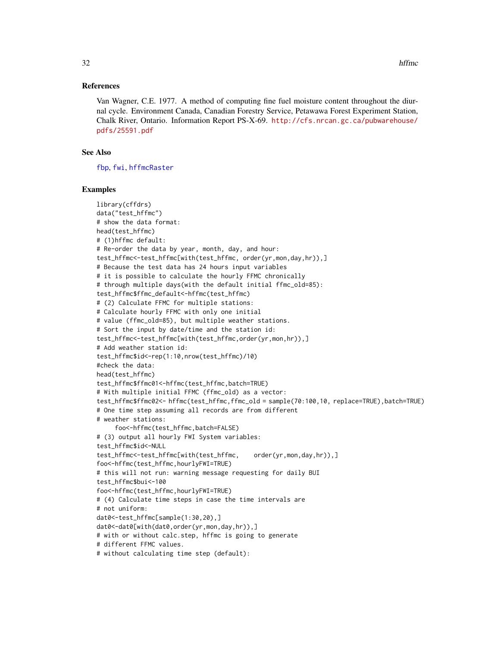# <span id="page-31-0"></span>References

Van Wagner, C.E. 1977. A method of computing fine fuel moisture content throughout the diurnal cycle. Environment Canada, Canadian Forestry Service, Petawawa Forest Experiment Station, Chalk River, Ontario. Information Report PS-X-69. [http://cfs.nrcan.gc.ca/pubwarehouse/](http://cfs.nrcan.gc.ca/pubwarehouse/pdfs/25591.pdf) [pdfs/25591.pdf](http://cfs.nrcan.gc.ca/pubwarehouse/pdfs/25591.pdf)

# See Also

[fbp](#page-4-1), [fwi](#page-19-1), [hffmcRaster](#page-32-1)

#### Examples

```
library(cffdrs)
data("test_hffmc")
# show the data format:
head(test_hffmc)
# (1)hffmc default:
# Re-order the data by year, month, day, and hour:
test_hffmc<-test_hffmc[with(test_hffmc, order(yr,mon,day,hr)),]
# Because the test data has 24 hours input variables
# it is possible to calculate the hourly FFMC chronically
# through multiple days(with the default initial ffmc_old=85):
test_hffmc$ffmc_default<-hffmc(test_hffmc)
# (2) Calculate FFMC for multiple stations:
# Calculate hourly FFMC with only one initial
# value (ffmc_old=85), but multiple weather stations.
# Sort the input by date/time and the station id:
test_hffmc<-test_hffmc[with(test_hffmc,order(yr,mon,hr)),]
# Add weather station id:
test_hffmc$id<-rep(1:10,nrow(test_hffmc)/10)
#check the data:
head(test_hffmc)
test_hffmc$ffmc01<-hffmc(test_hffmc,batch=TRUE)
# With multiple initial FFMC (ffmc_old) as a vector:
test_hffmc$ffmc02<- hffmc(test_hffmc,ffmc_old = sample(70:100,10, replace=TRUE),batch=TRUE)
# One time step assuming all records are from different
# weather stations:
     foo<-hffmc(test_hffmc,batch=FALSE)
# (3) output all hourly FWI System variables:
test_hffmc$id<-NULL
test_hffmc<-test_hffmc[with(test_hffmc, order(yr,mon,day,hr)),]
foo<-hffmc(test_hffmc,hourlyFWI=TRUE)
# this will not run: warning message requesting for daily BUI
test_hffmc$bui<-100
foo<-hffmc(test_hffmc,hourlyFWI=TRUE)
# (4) Calculate time steps in case the time intervals are
# not uniform:
dat0<-test_hffmc[sample(1:30,20),]
dat0<-dat0[with(dat0,order(yr,mon,day,hr)),]
# with or without calc.step, hffmc is going to generate
# different FFMC values.
# without calculating time step (default):
```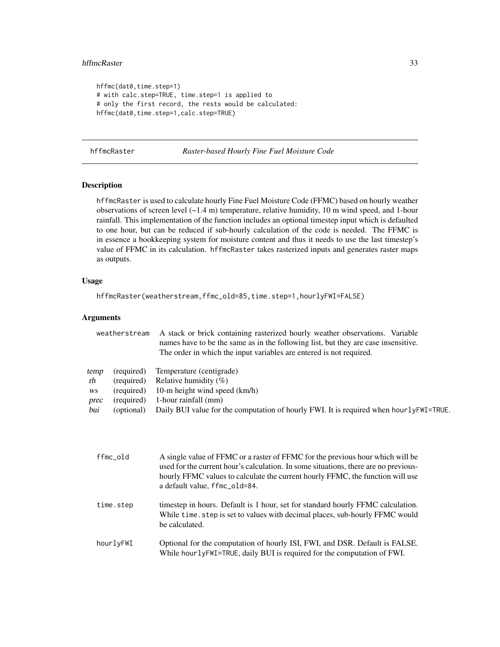#### <span id="page-32-0"></span>hffmcRaster 33

```
hffmc(dat0,time.step=1)
# with calc.step=TRUE, time.step=1 is applied to
# only the first record, the rests would be calculated:
hffmc(dat0,time.step=1,calc.step=TRUE)
```
<span id="page-32-1"></span>hffmcRaster *Raster-based Hourly Fine Fuel Moisture Code*

# Description

hffmcRaster is used to calculate hourly Fine Fuel Moisture Code (FFMC) based on hourly weather observations of screen level (~1.4 m) temperature, relative humidity, 10 m wind speed, and 1-hour rainfall. This implementation of the function includes an optional timestep input which is defaulted to one hour, but can be reduced if sub-hourly calculation of the code is needed. The FFMC is in essence a bookkeeping system for moisture content and thus it needs to use the last timestep's value of FFMC in its calculation. hffmcRaster takes rasterized inputs and generates raster maps as outputs.

# Usage

hffmcRaster(weatherstream,ffmc\_old=85,time.step=1,hourlyFWI=FALSE)

# Arguments

| weatherstream                                                                                         | A stack or brick containing rasterized hourly weather observations. Variable<br>names have to be the same as in the following list, but they are case insensitive.<br>The order in which the input variables are entered is not required. |
|-------------------------------------------------------------------------------------------------------|-------------------------------------------------------------------------------------------------------------------------------------------------------------------------------------------------------------------------------------------|
| (required)<br>temp<br>rh<br>(required)<br>(required)<br>WS<br>(required)<br>prec<br>bui<br>(optional) | Temperature (centigrade)<br>Relative humidity $(\% )$<br>10-m height wind speed (km/h)<br>1-hour rainfall (mm)<br>Daily BUI value for the computation of hourly FWI. It is required when hourly FWI=TRUE.                                 |

| ffmc_old  | A single value of FFMC or a raster of FFMC for the previous hour which will be<br>used for the current hour's calculation. In some situations, there are no previous-<br>hourly FFMC values to calculate the current hourly FFMC, the function will use<br>a default value, ffmc_old=84. |
|-----------|------------------------------------------------------------------------------------------------------------------------------------------------------------------------------------------------------------------------------------------------------------------------------------------|
| time.step | timestep in hours. Default is 1 hour, set for standard hourly FFMC calculation.<br>While time. step is set to values with decimal places, sub-hourly FFMC would<br>be calculated.                                                                                                        |
| hourlyFWI | Optional for the computation of hourly ISI, FWI, and DSR. Default is FALSE.<br>While hourlyFWI=TRUE, daily BUI is required for the computation of FWI.                                                                                                                                   |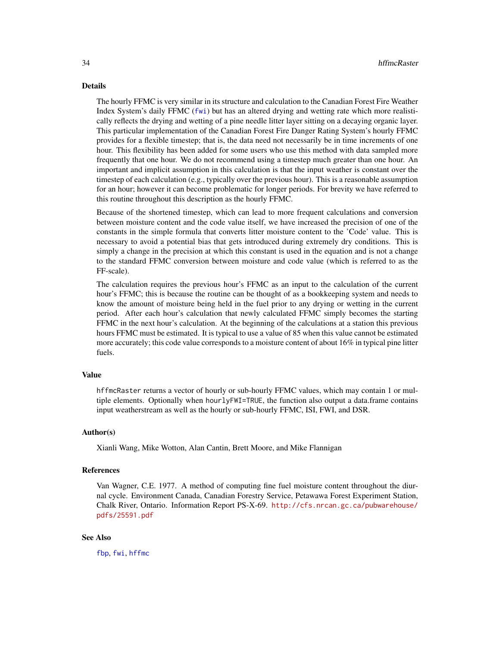#### <span id="page-33-0"></span>Details

The hourly FFMC is very similar in its structure and calculation to the Canadian Forest Fire Weather Index System's daily FFMC ([fwi](#page-19-1)) but has an altered drying and wetting rate which more realistically reflects the drying and wetting of a pine needle litter layer sitting on a decaying organic layer. This particular implementation of the Canadian Forest Fire Danger Rating System's hourly FFMC provides for a flexible timestep; that is, the data need not necessarily be in time increments of one hour. This flexibility has been added for some users who use this method with data sampled more frequently that one hour. We do not recommend using a timestep much greater than one hour. An important and implicit assumption in this calculation is that the input weather is constant over the timestep of each calculation (e.g., typically over the previous hour). This is a reasonable assumption for an hour; however it can become problematic for longer periods. For brevity we have referred to this routine throughout this description as the hourly FFMC.

Because of the shortened timestep, which can lead to more frequent calculations and conversion between moisture content and the code value itself, we have increased the precision of one of the constants in the simple formula that converts litter moisture content to the 'Code' value. This is necessary to avoid a potential bias that gets introduced during extremely dry conditions. This is simply a change in the precision at which this constant is used in the equation and is not a change to the standard FFMC conversion between moisture and code value (which is referred to as the FF-scale).

The calculation requires the previous hour's FFMC as an input to the calculation of the current hour's FFMC; this is because the routine can be thought of as a bookkeeping system and needs to know the amount of moisture being held in the fuel prior to any drying or wetting in the current period. After each hour's calculation that newly calculated FFMC simply becomes the starting FFMC in the next hour's calculation. At the beginning of the calculations at a station this previous hours FFMC must be estimated. It is typical to use a value of 85 when this value cannot be estimated more accurately; this code value corresponds to a moisture content of about 16% in typical pine litter fuels.

#### Value

hffmcRaster returns a vector of hourly or sub-hourly FFMC values, which may contain 1 or multiple elements. Optionally when hourlyFWI=TRUE, the function also output a data.frame contains input weatherstream as well as the hourly or sub-hourly FFMC, ISI, FWI, and DSR.

# Author(s)

Xianli Wang, Mike Wotton, Alan Cantin, Brett Moore, and Mike Flannigan

# References

Van Wagner, C.E. 1977. A method of computing fine fuel moisture content throughout the diurnal cycle. Environment Canada, Canadian Forestry Service, Petawawa Forest Experiment Station, Chalk River, Ontario. Information Report PS-X-69. [http://cfs.nrcan.gc.ca/pubwarehouse/](http://cfs.nrcan.gc.ca/pubwarehouse/pdfs/25591.pdf) [pdfs/25591.pdf](http://cfs.nrcan.gc.ca/pubwarehouse/pdfs/25591.pdf)

# See Also

[fbp](#page-4-1), [fwi](#page-19-1), [hffmc](#page-28-1)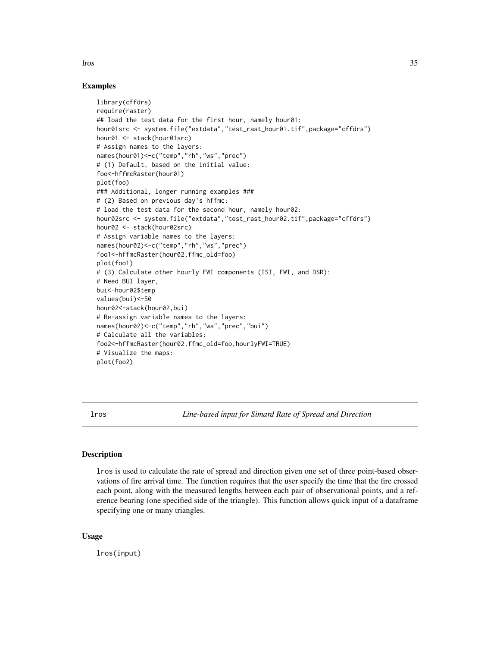#### <span id="page-34-0"></span>lros 35

# Examples

```
library(cffdrs)
require(raster)
## load the test data for the first hour, namely hour01:
hour01src <- system.file("extdata","test_rast_hour01.tif",package="cffdrs")
hour01 <- stack(hour01src)
# Assign names to the layers:
names(hour01)<-c("temp","rh","ws","prec")
# (1) Default, based on the initial value:
foo<-hffmcRaster(hour01)
plot(foo)
### Additional, longer running examples ###
# (2) Based on previous day's hffmc:
# load the test data for the second hour, namely hour02:
hour02src <- system.file("extdata","test_rast_hour02.tif",package="cffdrs")
hour02 <- stack(hour02src)
# Assign variable names to the layers:
names(hour02)<-c("temp","rh","ws","prec")
foo1<-hffmcRaster(hour02,ffmc_old=foo)
plot(foo1)
# (3) Calculate other hourly FWI components (ISI, FWI, and DSR):
# Need BUI layer,
bui<-hour02$temp
values(bui)<-50
hour02<-stack(hour02,bui)
# Re-assign variable names to the layers:
names(hour02)<-c("temp","rh","ws","prec","bui")
# Calculate all the variables:
foo2<-hffmcRaster(hour02,ffmc_old=foo,hourlyFWI=TRUE)
# Visualize the maps:
plot(foo2)
```
<span id="page-34-1"></span>lros *Line-based input for Simard Rate of Spread and Direction*

# **Description**

lros is used to calculate the rate of spread and direction given one set of three point-based observations of fire arrival time. The function requires that the user specify the time that the fire crossed each point, along with the measured lengths between each pair of observational points, and a reference bearing (one specified side of the triangle). This function allows quick input of a dataframe specifying one or many triangles.

# Usage

lros(input)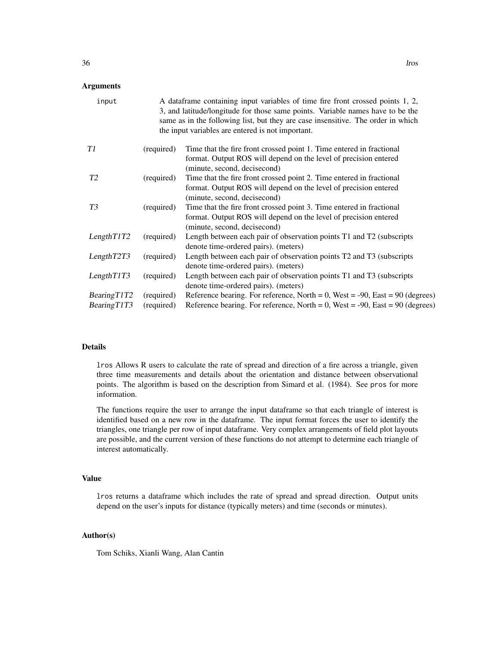# **Arguments**

| input          |            | A dataframe containing input variables of time fire front crossed points 1, 2,<br>3, and latitude/longitude for those same points. Variable names have to be the<br>same as in the following list, but they are case insensitive. The order in which<br>the input variables are entered is not important. |
|----------------|------------|-----------------------------------------------------------------------------------------------------------------------------------------------------------------------------------------------------------------------------------------------------------------------------------------------------------|
| T1             | (required) | Time that the fire front crossed point 1. Time entered in fractional                                                                                                                                                                                                                                      |
|                |            | format. Output ROS will depend on the level of precision entered<br>(minute, second, decisecond)                                                                                                                                                                                                          |
| T <sub>2</sub> | (required) | Time that the fire front crossed point 2. Time entered in fractional                                                                                                                                                                                                                                      |
|                |            | format. Output ROS will depend on the level of precision entered                                                                                                                                                                                                                                          |
|                |            | (minute, second, decisecond)                                                                                                                                                                                                                                                                              |
| T <sub>3</sub> | (required) | Time that the fire front crossed point 3. Time entered in fractional                                                                                                                                                                                                                                      |
|                |            | format. Output ROS will depend on the level of precision entered                                                                                                                                                                                                                                          |
|                |            | (minute, second, decisecond)                                                                                                                                                                                                                                                                              |
| LengthT1T2     | (required) | Length between each pair of observation points T1 and T2 (subscripts                                                                                                                                                                                                                                      |
|                |            | denote time-ordered pairs). (meters)                                                                                                                                                                                                                                                                      |
| LengthT2T3     | (required) | Length between each pair of observation points T2 and T3 (subscripts                                                                                                                                                                                                                                      |
|                |            | denote time-ordered pairs). (meters)                                                                                                                                                                                                                                                                      |
| LengthT1T3     | (required) | Length between each pair of observation points T1 and T3 (subscripts                                                                                                                                                                                                                                      |
|                |            | denote time-ordered pairs). (meters)                                                                                                                                                                                                                                                                      |
| BearingT1T2    | (required) | Reference bearing. For reference, North = $0$ , West = -90, East = 90 (degrees)                                                                                                                                                                                                                           |
| BearingT1T3    | (required) | Reference bearing. For reference, North = $0$ , West = -90, East = 90 (degrees)                                                                                                                                                                                                                           |

# Details

lros Allows R users to calculate the rate of spread and direction of a fire across a triangle, given three time measurements and details about the orientation and distance between observational points. The algorithm is based on the description from Simard et al. (1984). See pros for more information.

The functions require the user to arrange the input dataframe so that each triangle of interest is identified based on a new row in the dataframe. The input format forces the user to identify the triangles, one triangle per row of input dataframe. Very complex arrangements of field plot layouts are possible, and the current version of these functions do not attempt to determine each triangle of interest automatically.

#### Value

lros returns a dataframe which includes the rate of spread and spread direction. Output units depend on the user's inputs for distance (typically meters) and time (seconds or minutes).

# Author(s)

Tom Schiks, Xianli Wang, Alan Cantin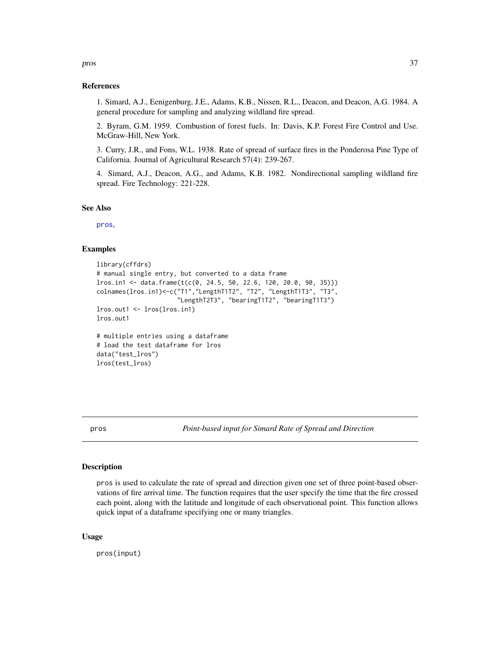#### References

1. Simard, A.J., Eenigenburg, J.E., Adams, K.B., Nissen, R.L., Deacon, and Deacon, A.G. 1984. A general procedure for sampling and analyzing wildland fire spread.

2. Byram, G.M. 1959. Combustion of forest fuels. In: Davis, K.P. Forest Fire Control and Use. McGraw-Hill, New York.

3. Curry, J.R., and Fons, W.L. 1938. Rate of spread of surface fires in the Ponderosa Pine Type of California. Journal of Agricultural Research 57(4): 239-267.

4. Simard, A.J., Deacon, A.G., and Adams, K.B. 1982. Nondirectional sampling wildland fire spread. Fire Technology: 221-228.

### See Also

[pros](#page-36-1),

# Examples

```
library(cffdrs)
# manual single entry, but converted to a data frame
lros.in1 <- data.frame(t(c(0, 24.5, 50, 22.6, 120, 20.0, 90, 35)))
colnames(lros.in1)<-c("T1","LengthT1T2", "T2", "LengthT1T3", "T3",
                      "LengthT2T3", "bearingT1T2", "bearingT1T3")
lros.out1 <- lros(lros.in1)
lros.out1
# multiple entries using a dataframe
# load the test dataframe for lros
data("test_lros")
lros(test_lros)
```
<span id="page-36-1"></span>

pros *Point-based input for Simard Rate of Spread and Direction*

# Description

pros is used to calculate the rate of spread and direction given one set of three point-based observations of fire arrival time. The function requires that the user specify the time that the fire crossed each point, along with the latitude and longitude of each observational point. This function allows quick input of a dataframe specifying one or many triangles.

# Usage

pros(input)

<span id="page-36-0"></span>pros and the state of the state of the state of the state of the state of the state of the state of the state of the state of the state of the state of the state of the state of the state of the state of the state of the s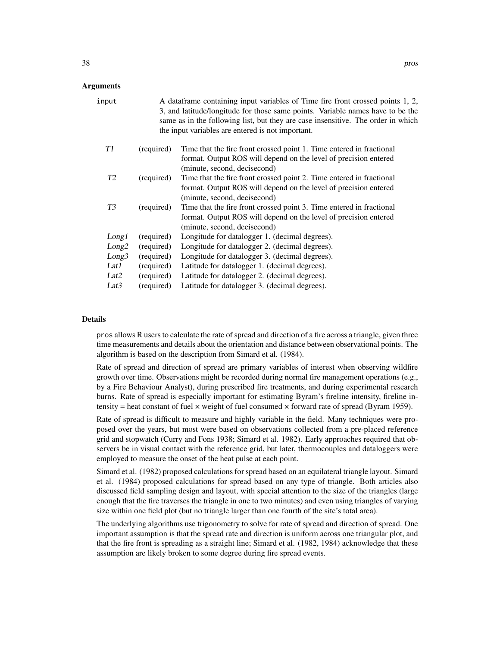### Arguments

| input             |            | A data frame containing input variables of Time fire front crossed points 1, 2,<br>3, and latitude/longitude for those same points. Variable names have to be the<br>same as in the following list, but they are case insensitive. The order in which<br>the input variables are entered is not important. |
|-------------------|------------|------------------------------------------------------------------------------------------------------------------------------------------------------------------------------------------------------------------------------------------------------------------------------------------------------------|
| T1                | (required) | Time that the fire front crossed point 1. Time entered in fractional<br>format. Output ROS will depend on the level of precision entered<br>(minute, second, decisecond)                                                                                                                                   |
| T <sub>2</sub>    | (required) | Time that the fire front crossed point 2. Time entered in fractional<br>format. Output ROS will depend on the level of precision entered<br>(minute, second, decisecond)                                                                                                                                   |
| T <sub>3</sub>    | (required) | Time that the fire front crossed point 3. Time entered in fractional<br>format. Output ROS will depend on the level of precision entered<br>(minute, second, decisecond)                                                                                                                                   |
| Long1             | (required) | Longitude for datalogger 1. (decimal degrees).                                                                                                                                                                                                                                                             |
| Long2             | (required) | Longitude for datalogger 2. (decimal degrees).                                                                                                                                                                                                                                                             |
| Long <sub>3</sub> | (required) | Longitude for datalogger 3. (decimal degrees).                                                                                                                                                                                                                                                             |
| Lat1              | (required) | Latitude for datalogger 1. (decimal degrees).                                                                                                                                                                                                                                                              |
| Lat2              | (required) | Latitude for datalogger 2. (decimal degrees).                                                                                                                                                                                                                                                              |
| Lat <sub>3</sub>  | (required) | Latitude for datalogger 3. (decimal degrees).                                                                                                                                                                                                                                                              |

# Details

pros allows R users to calculate the rate of spread and direction of a fire across a triangle, given three time measurements and details about the orientation and distance between observational points. The algorithm is based on the description from Simard et al. (1984).

Rate of spread and direction of spread are primary variables of interest when observing wildfire growth over time. Observations might be recorded during normal fire management operations (e.g., by a Fire Behaviour Analyst), during prescribed fire treatments, and during experimental research burns. Rate of spread is especially important for estimating Byram's fireline intensity, fireline intensity = heat constant of fuel  $\times$  weight of fuel consumed  $\times$  forward rate of spread (Byram 1959).

Rate of spread is difficult to measure and highly variable in the field. Many techniques were proposed over the years, but most were based on observations collected from a pre-placed reference grid and stopwatch (Curry and Fons 1938; Simard et al. 1982). Early approaches required that observers be in visual contact with the reference grid, but later, thermocouples and dataloggers were employed to measure the onset of the heat pulse at each point.

Simard et al. (1982) proposed calculations for spread based on an equilateral triangle layout. Simard et al. (1984) proposed calculations for spread based on any type of triangle. Both articles also discussed field sampling design and layout, with special attention to the size of the triangles (large enough that the fire traverses the triangle in one to two minutes) and even using triangles of varying size within one field plot (but no triangle larger than one fourth of the site's total area).

The underlying algorithms use trigonometry to solve for rate of spread and direction of spread. One important assumption is that the spread rate and direction is uniform across one triangular plot, and that the fire front is spreading as a straight line; Simard et al. (1982, 1984) acknowledge that these assumption are likely broken to some degree during fire spread events.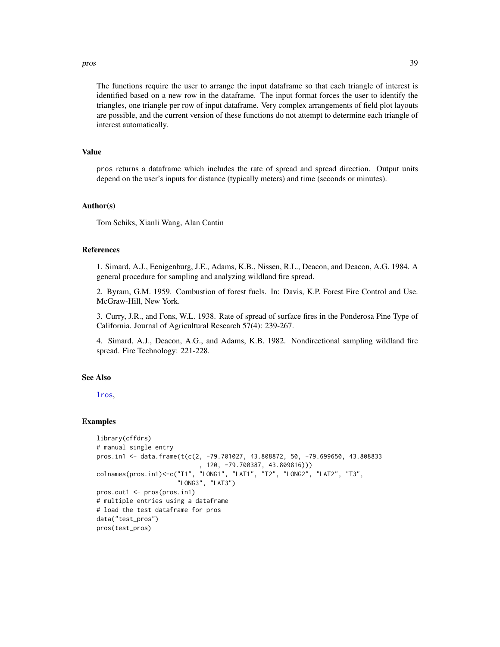#### <span id="page-38-0"></span>pros and the set of the set of the set of the set of the set of the set of the set of the set of the set of the set of the set of the set of the set of the set of the set of the set of the set of the set of the set of the

The functions require the user to arrange the input dataframe so that each triangle of interest is identified based on a new row in the dataframe. The input format forces the user to identify the triangles, one triangle per row of input dataframe. Very complex arrangements of field plot layouts are possible, and the current version of these functions do not attempt to determine each triangle of interest automatically.

# Value

pros returns a dataframe which includes the rate of spread and spread direction. Output units depend on the user's inputs for distance (typically meters) and time (seconds or minutes).

# Author(s)

Tom Schiks, Xianli Wang, Alan Cantin

#### References

1. Simard, A.J., Eenigenburg, J.E., Adams, K.B., Nissen, R.L., Deacon, and Deacon, A.G. 1984. A general procedure for sampling and analyzing wildland fire spread.

2. Byram, G.M. 1959. Combustion of forest fuels. In: Davis, K.P. Forest Fire Control and Use. McGraw-Hill, New York.

3. Curry, J.R., and Fons, W.L. 1938. Rate of spread of surface fires in the Ponderosa Pine Type of California. Journal of Agricultural Research 57(4): 239-267.

4. Simard, A.J., Deacon, A.G., and Adams, K.B. 1982. Nondirectional sampling wildland fire spread. Fire Technology: 221-228.

# See Also

[lros](#page-34-1),

# Examples

```
library(cffdrs)
# manual single entry
pros.in1 <- data.frame(t(c(2, -79.701027, 43.808872, 50, -79.699650, 43.808833
                            , 120, -79.700387, 43.809816)))
colnames(pros.in1)<-c("T1", "LONG1", "LAT1", "T2", "LONG2", "LAT2", "T3",
                      "LONG3", "LAT3")
pros.out1 <- pros(pros.in1)
# multiple entries using a dataframe
# load the test dataframe for pros
data("test_pros")
pros(test_pros)
```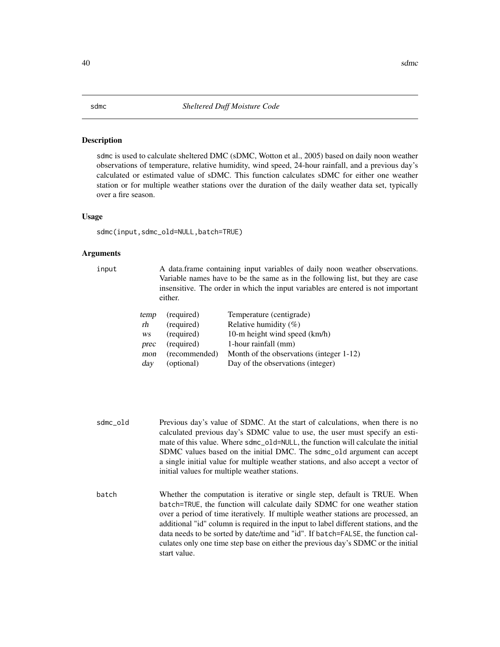# <span id="page-39-1"></span><span id="page-39-0"></span>Description

sdmc is used to calculate sheltered DMC (sDMC, Wotton et al., 2005) based on daily noon weather observations of temperature, relative humidity, wind speed, 24-hour rainfall, and a previous day's calculated or estimated value of sDMC. This function calculates sDMC for either one weather station or for multiple weather stations over the duration of the daily weather data set, typically over a fire season.

#### Usage

sdmc(input,sdmc\_old=NULL,batch=TRUE)

#### Arguments

input A data.frame containing input variables of daily noon weather observations. Variable names have to be the same as in the following list, but they are case insensitive. The order in which the input variables are entered is not important either.

| temp | (required)    | Temperature (centigrade)                 |
|------|---------------|------------------------------------------|
| rh   | (required)    | Relative humidity $(\%)$                 |
| WS   | (required)    | 10-m height wind speed (km/h)            |
| prec | (required)    | 1-hour rainfall (mm)                     |
| mon  | (recommended) | Month of the observations (integer 1-12) |
| day  | (optional)    | Day of the observations (integer)        |

- sdmc\_old Previous day's value of SDMC. At the start of calculations, when there is no calculated previous day's SDMC value to use, the user must specify an estimate of this value. Where sdmc\_old=NULL, the function will calculate the initial SDMC values based on the initial DMC. The sdmc\_old argument can accept a single initial value for multiple weather stations, and also accept a vector of initial values for multiple weather stations.
- batch Whether the computation is iterative or single step, default is TRUE. When batch=TRUE, the function will calculate daily SDMC for one weather station over a period of time iteratively. If multiple weather stations are processed, an additional "id" column is required in the input to label different stations, and the data needs to be sorted by date/time and "id". If batch=FALSE, the function calculates only one time step base on either the previous day's SDMC or the initial start value.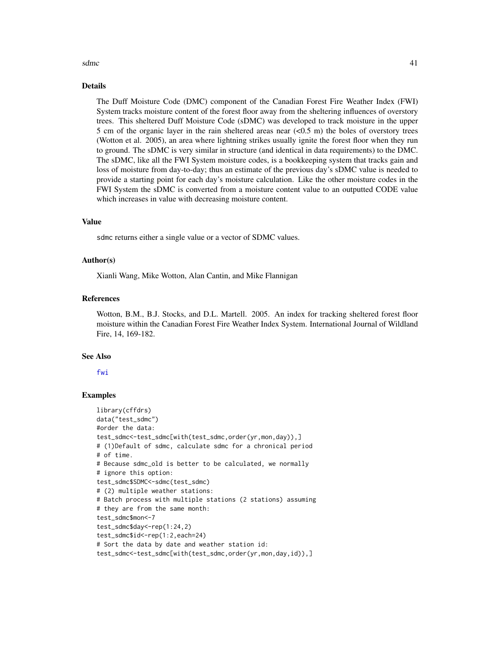#### <span id="page-40-0"></span> $\sinh(41)$

# Details

The Duff Moisture Code (DMC) component of the Canadian Forest Fire Weather Index (FWI) System tracks moisture content of the forest floor away from the sheltering influences of overstory trees. This sheltered Duff Moisture Code (sDMC) was developed to track moisture in the upper 5 cm of the organic layer in the rain sheltered areas near  $(<0.5 \text{ m})$  the boles of overstory trees (Wotton et al. 2005), an area where lightning strikes usually ignite the forest floor when they run to ground. The sDMC is very similar in structure (and identical in data requirements) to the DMC. The sDMC, like all the FWI System moisture codes, is a bookkeeping system that tracks gain and loss of moisture from day-to-day; thus an estimate of the previous day's sDMC value is needed to provide a starting point for each day's moisture calculation. Like the other moisture codes in the FWI System the sDMC is converted from a moisture content value to an outputted CODE value which increases in value with decreasing moisture content.

#### Value

sdmc returns either a single value or a vector of SDMC values.

#### Author(s)

Xianli Wang, Mike Wotton, Alan Cantin, and Mike Flannigan

#### References

Wotton, B.M., B.J. Stocks, and D.L. Martell. 2005. An index for tracking sheltered forest floor moisture within the Canadian Forest Fire Weather Index System. International Journal of Wildland Fire, 14, 169-182.

#### See Also

[fwi](#page-19-1)

# Examples

```
library(cffdrs)
data("test_sdmc")
#order the data:
test_sdmc<-test_sdmc[with(test_sdmc,order(yr,mon,day)),]
# (1)Default of sdmc, calculate sdmc for a chronical period
# of time.
# Because sdmc_old is better to be calculated, we normally
# ignore this option:
test_sdmc$SDMC<-sdmc(test_sdmc)
# (2) multiple weather stations:
# Batch process with multiple stations (2 stations) assuming
# they are from the same month:
test_sdmc$mon<-7
test_sdmc$day<-rep(1:24,2)
test_sdmc$id<-rep(1:2,each=24)
# Sort the data by date and weather station id:
test_sdmc<-test_sdmc[with(test_sdmc,order(yr,mon,day,id)),]
```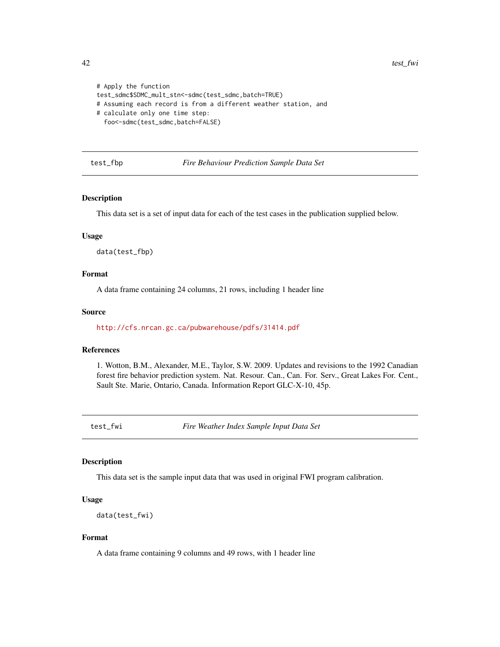```
# Apply the function
test_sdmc$SDMC_mult_stn<-sdmc(test_sdmc,batch=TRUE)
# Assuming each record is from a different weather station, and
# calculate only one time step:
  foo<-sdmc(test_sdmc,batch=FALSE)
```
test\_fbp *Fire Behaviour Prediction Sample Data Set*

# Description

This data set is a set of input data for each of the test cases in the publication supplied below.

# Usage

data(test\_fbp)

# Format

A data frame containing 24 columns, 21 rows, including 1 header line

#### Source

<http://cfs.nrcan.gc.ca/pubwarehouse/pdfs/31414.pdf>

# References

1. Wotton, B.M., Alexander, M.E., Taylor, S.W. 2009. Updates and revisions to the 1992 Canadian forest fire behavior prediction system. Nat. Resour. Can., Can. For. Serv., Great Lakes For. Cent., Sault Ste. Marie, Ontario, Canada. Information Report GLC-X-10, 45p.

test\_fwi *Fire Weather Index Sample Input Data Set*

# Description

This data set is the sample input data that was used in original FWI program calibration.

# Usage

```
data(test_fwi)
```
# Format

A data frame containing 9 columns and 49 rows, with 1 header line

<span id="page-41-0"></span>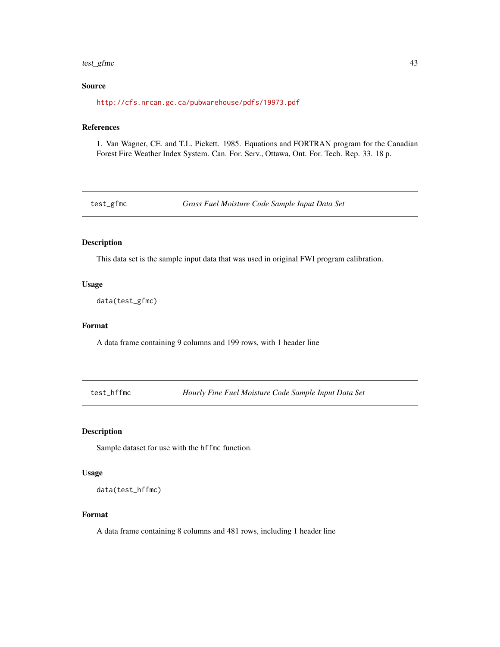#### <span id="page-42-0"></span>test\_gfmc 43

# Source

<http://cfs.nrcan.gc.ca/pubwarehouse/pdfs/19973.pdf>

# References

1. Van Wagner, CE. and T.L. Pickett. 1985. Equations and FORTRAN program for the Canadian Forest Fire Weather Index System. Can. For. Serv., Ottawa, Ont. For. Tech. Rep. 33. 18 p.

test\_gfmc *Grass Fuel Moisture Code Sample Input Data Set*

# Description

This data set is the sample input data that was used in original FWI program calibration.

# Usage

```
data(test_gfmc)
```
#### Format

A data frame containing 9 columns and 199 rows, with 1 header line

test\_hffmc *Hourly Fine Fuel Moisture Code Sample Input Data Set*

# Description

Sample dataset for use with the hffmc function.

# Usage

data(test\_hffmc)

# Format

A data frame containing 8 columns and 481 rows, including 1 header line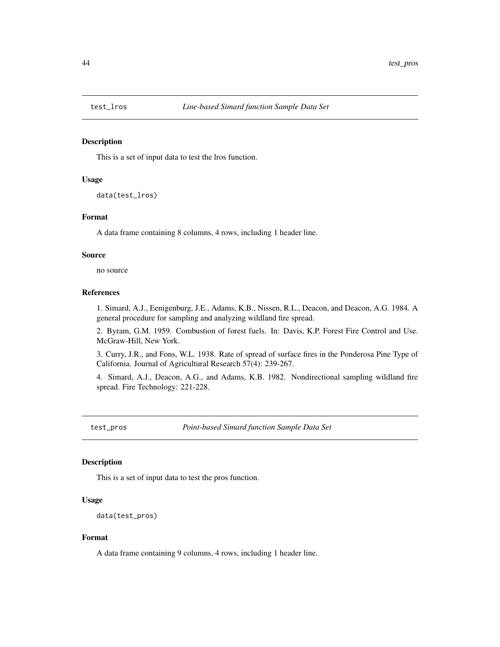<span id="page-43-0"></span>

# Description

This is a set of input data to test the lros function.

# Usage

```
data(test_lros)
```
#### Format

A data frame containing 8 columns, 4 rows, including 1 header line.

#### Source

no source

# References

1. Simard, A.J., Eenigenburg, J.E., Adams, K.B., Nissen, R.L., Deacon, and Deacon, A.G. 1984. A general procedure for sampling and analyzing wildland fire spread.

2. Byram, G.M. 1959. Combustion of forest fuels. In: Davis, K.P. Forest Fire Control and Use. McGraw-Hill, New York.

3. Curry, J.R., and Fons, W.L. 1938. Rate of spread of surface fires in the Ponderosa Pine Type of California. Journal of Agricultural Research 57(4): 239-267.

4. Simard, A.J., Deacon, A.G., and Adams, K.B. 1982. Nondirectional sampling wildland fire spread. Fire Technology: 221-228.

test\_pros *Point-based Simard function Sample Data Set*

# Description

This is a set of input data to test the pros function.

# Usage

```
data(test_pros)
```
# Format

A data frame containing 9 columns, 4 rows, including 1 header line.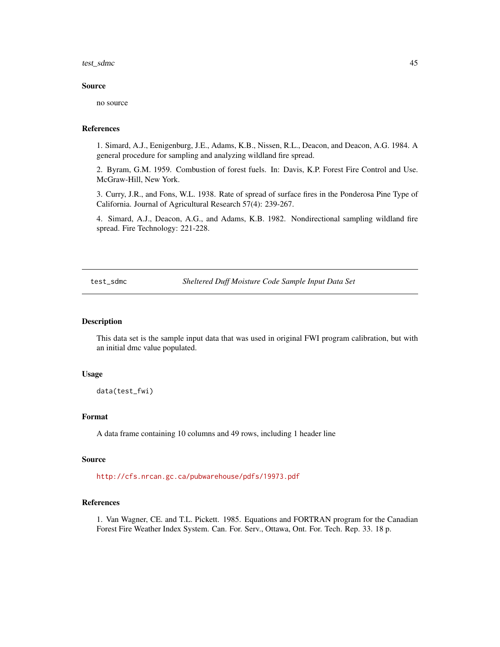#### <span id="page-44-0"></span>test\_sdmc 45

# Source

no source

# References

1. Simard, A.J., Eenigenburg, J.E., Adams, K.B., Nissen, R.L., Deacon, and Deacon, A.G. 1984. A general procedure for sampling and analyzing wildland fire spread.

2. Byram, G.M. 1959. Combustion of forest fuels. In: Davis, K.P. Forest Fire Control and Use. McGraw-Hill, New York.

3. Curry, J.R., and Fons, W.L. 1938. Rate of spread of surface fires in the Ponderosa Pine Type of California. Journal of Agricultural Research 57(4): 239-267.

4. Simard, A.J., Deacon, A.G., and Adams, K.B. 1982. Nondirectional sampling wildland fire spread. Fire Technology: 221-228.

test\_sdmc *Sheltered Duff Moisture Code Sample Input Data Set*

#### Description

This data set is the sample input data that was used in original FWI program calibration, but with an initial dmc value populated.

# Usage

data(test\_fwi)

# Format

A data frame containing 10 columns and 49 rows, including 1 header line

#### Source

<http://cfs.nrcan.gc.ca/pubwarehouse/pdfs/19973.pdf>

# References

1. Van Wagner, CE. and T.L. Pickett. 1985. Equations and FORTRAN program for the Canadian Forest Fire Weather Index System. Can. For. Serv., Ottawa, Ont. For. Tech. Rep. 33. 18 p.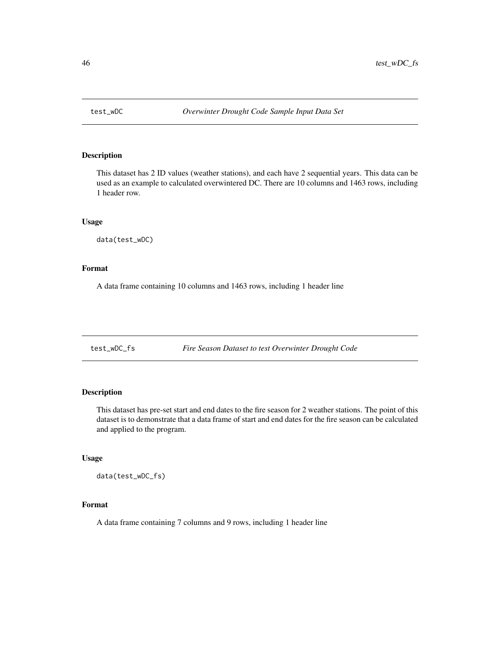<span id="page-45-0"></span>

# Description

This dataset has 2 ID values (weather stations), and each have 2 sequential years. This data can be used as an example to calculated overwintered DC. There are 10 columns and 1463 rows, including 1 header row.

# Usage

data(test\_wDC)

# Format

A data frame containing 10 columns and 1463 rows, including 1 header line

test\_wDC\_fs *Fire Season Dataset to test Overwinter Drought Code*

# Description

This dataset has pre-set start and end dates to the fire season for 2 weather stations. The point of this dataset is to demonstrate that a data frame of start and end dates for the fire season can be calculated and applied to the program.

# Usage

data(test\_wDC\_fs)

# Format

A data frame containing 7 columns and 9 rows, including 1 header line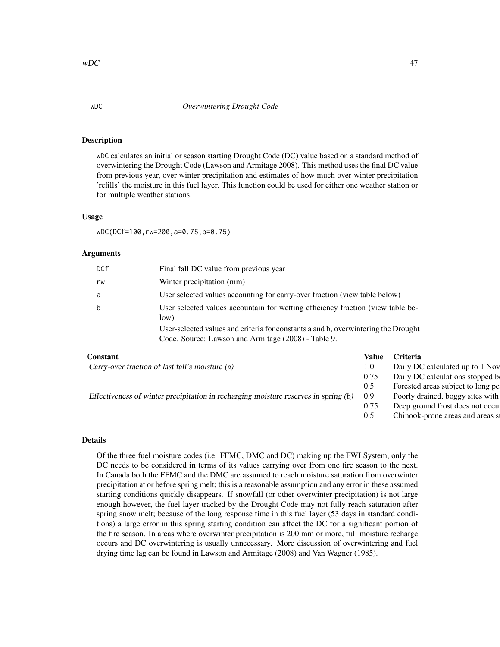#### <span id="page-46-1"></span><span id="page-46-0"></span>Description

wDC calculates an initial or season starting Drought Code (DC) value based on a standard method of overwintering the Drought Code (Lawson and Armitage 2008). This method uses the final DC value from previous year, over winter precipitation and estimates of how much over-winter precipitation 'refills' the moisture in this fuel layer. This function could be used for either one weather station or for multiple weather stations.

# Usage

wDC(DCf=100,rw=200,a=0.75,b=0.75)

#### Arguments

| DCf | Final fall DC value from previous year                                                                                                    |  |
|-----|-------------------------------------------------------------------------------------------------------------------------------------------|--|
| rw  | Winter precipitation (mm)                                                                                                                 |  |
| a   | User selected values accounting for carry-over fraction (view table below)                                                                |  |
| b   | User selected values accountain for wetting efficiency fraction (view table be-<br>low)                                                   |  |
|     | User-selected values and criteria for constants a and b, overwintering the Drought<br>Code. Source: Lawson and Armitage (2008) - Table 9. |  |

| Constant                                                                                | Value | Criteria                          |
|-----------------------------------------------------------------------------------------|-------|-----------------------------------|
| Carry-over fraction of last fall's moisture (a)                                         |       | Daily DC calculated up to 1 Nov   |
|                                                                                         | 0.75  | Daily DC calculations stopped b   |
|                                                                                         | 0.5   | Forested areas subject to long pe |
| Effectiveness of winter precipitation in recharging moisture reserves in spring (b) 0.9 |       | Poorly drained, boggy sites with  |
|                                                                                         | 0.75  | Deep ground frost does not occu   |
|                                                                                         | 0.5   | Chinook-prone areas and areas st  |
|                                                                                         |       |                                   |

# Details

Of the three fuel moisture codes (i.e. FFMC, DMC and DC) making up the FWI System, only the DC needs to be considered in terms of its values carrying over from one fire season to the next. In Canada both the FFMC and the DMC are assumed to reach moisture saturation from overwinter precipitation at or before spring melt; this is a reasonable assumption and any error in these assumed starting conditions quickly disappears. If snowfall (or other overwinter precipitation) is not large enough however, the fuel layer tracked by the Drought Code may not fully reach saturation after spring snow melt; because of the long response time in this fuel layer (53 days in standard conditions) a large error in this spring starting condition can affect the DC for a significant portion of the fire season. In areas where overwinter precipitation is 200 mm or more, full moisture recharge occurs and DC overwintering is usually unnecessary. More discussion of overwintering and fuel drying time lag can be found in Lawson and Armitage (2008) and Van Wagner (1985).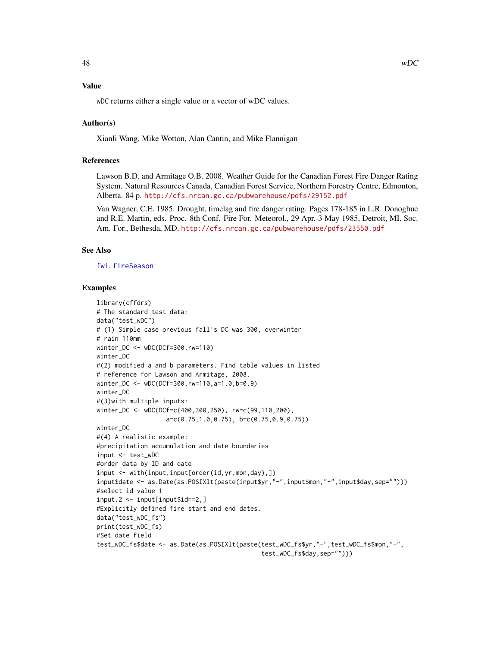# <span id="page-47-0"></span>Value

wDC returns either a single value or a vector of wDC values.

# Author(s)

Xianli Wang, Mike Wotton, Alan Cantin, and Mike Flannigan

# References

Lawson B.D. and Armitage O.B. 2008. Weather Guide for the Canadian Forest Fire Danger Rating System. Natural Resources Canada, Canadian Forest Service, Northern Forestry Centre, Edmonton, Alberta. 84 p. <http://cfs.nrcan.gc.ca/pubwarehouse/pdfs/29152.pdf>

Van Wagner, C.E. 1985. Drought, timelag and fire danger rating. Pages 178-185 in L.R. Donoghue and R.E. Martin, eds. Proc. 8th Conf. Fire For. Meteorol., 29 Apr.-3 May 1985, Detroit, MI. Soc. Am. For., Bethesda, MD. <http://cfs.nrcan.gc.ca/pubwarehouse/pdfs/23550.pdf>

# See Also

[fwi](#page-19-1), [fireSeason](#page-16-1)

# Examples

```
library(cffdrs)
# The standard test data:
data("test_wDC")
# (1) Simple case previous fall's DC was 300, overwinter
# rain 110mm
winter_DC <- wDC(DCf=300,rw=110)
winter_DC
#(2) modified a and b parameters. Find table values in listed
# reference for Lawson and Armitage, 2008.
winter_DC <- wDC(DCf=300,rw=110,a=1.0,b=0.9)
winter_DC
#(3)with multiple inputs:
winter_DC <- wDC(DCf=c(400,300,250), rw=c(99,110,200),
                   a=c(0.75,1.0,0.75), b=c(0.75,0.9,0.75))
winter_DC
#(4) A realistic example:
#precipitation accumulation and date boundaries
input <- test_wDC
#order data by ID and date
input <- with(input,input[order(id,yr,mon,day),])
input$date <- as.Date(as.POSIXlt(paste(input$yr,"-",input$mon,"-",input$day,sep="")))
#select id value 1
input.2 \leq input[input$id==2,]#Explicitly defined fire start and end dates.
data("test_wDC_fs")
print(test_wDC_fs)
#Set date field
test_wDC_fs$date <- as.Date(as.POSIXlt(paste(test_wDC_fs$yr,"-",test_wDC_fs$mon,"-",
                                              test_wDC_fs$day,sep="")))
```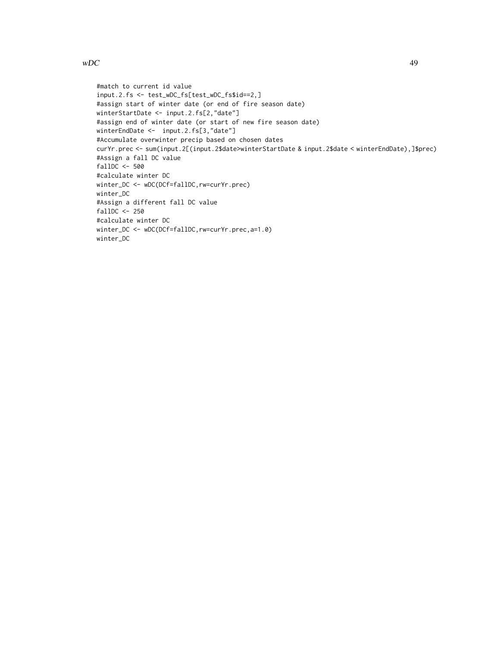# $wDC$  49

```
#match to current id value
input.2.fs <- test_wDC_fs[test_wDC_fs$id==2,]
#assign start of winter date (or end of fire season date)
winterStartDate <- input.2.fs[2,"date"]
#assign end of winter date (or start of new fire season date)
winterEndDate <- input.2.fs[3,"date"]
#Accumulate overwinter precip based on chosen dates
curYr.prec <- sum(input.2[(input.2$date>winterStartDate & input.2$date < winterEndDate),]$prec)
#Assign a fall DC value
fallDC <- 500
#calculate winter DC
winter_DC <- wDC(DCf=fallDC,rw=curYr.prec)
winter_DC
#Assign a different fall DC value
fallDC <- 250
#calculate winter DC
winter_DC <- wDC(DCf=fallDC,rw=curYr.prec,a=1.0)
winter_DC
```